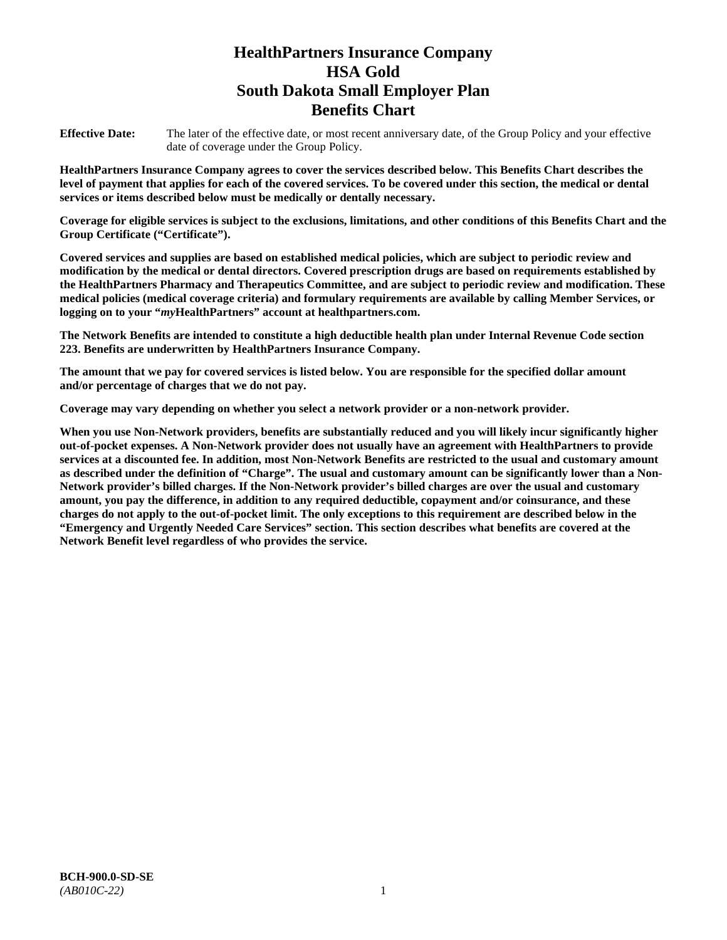# **HealthPartners Insurance Company HSA Gold South Dakota Small Employer Plan Benefits Chart**

**Effective Date:** The later of the effective date, or most recent anniversary date, of the Group Policy and your effective date of coverage under the Group Policy.

**HealthPartners Insurance Company agrees to cover the services described below. This Benefits Chart describes the level of payment that applies for each of the covered services. To be covered under this section, the medical or dental services or items described below must be medically or dentally necessary.**

**Coverage for eligible services is subject to the exclusions, limitations, and other conditions of this Benefits Chart and the Group Certificate ("Certificate").**

**Covered services and supplies are based on established medical policies, which are subject to periodic review and modification by the medical or dental directors. Covered prescription drugs are based on requirements established by the HealthPartners Pharmacy and Therapeutics Committee, and are subject to periodic review and modification. These medical policies (medical coverage criteria) and formulary requirements are available by calling Member Services, or logging on to your "***my***HealthPartners" account at [healthpartners.com.](file://isntmacsrv0/www.healthpartners.com)**

**The Network Benefits are intended to constitute a high deductible health plan under Internal Revenue Code section 223. Benefits are underwritten by HealthPartners Insurance Company.**

**The amount that we pay for covered services is listed below. You are responsible for the specified dollar amount and/or percentage of charges that we do not pay.**

**Coverage may vary depending on whether you select a network provider or a non-network provider.**

**When you use Non-Network providers, benefits are substantially reduced and you will likely incur significantly higher out-of-pocket expenses. A Non-Network provider does not usually have an agreement with HealthPartners to provide services at a discounted fee. In addition, most Non-Network Benefits are restricted to the usual and customary amount as described under the definition of "Charge". The usual and customary amount can be significantly lower than a Non-Network provider's billed charges. If the Non-Network provider's billed charges are over the usual and customary amount, you pay the difference, in addition to any required deductible, copayment and/or coinsurance, and these charges do not apply to the out-of-pocket limit. The only exceptions to this requirement are described below in the "Emergency and Urgently Needed Care Services" section. This section describes what benefits are covered at the Network Benefit level regardless of who provides the service.**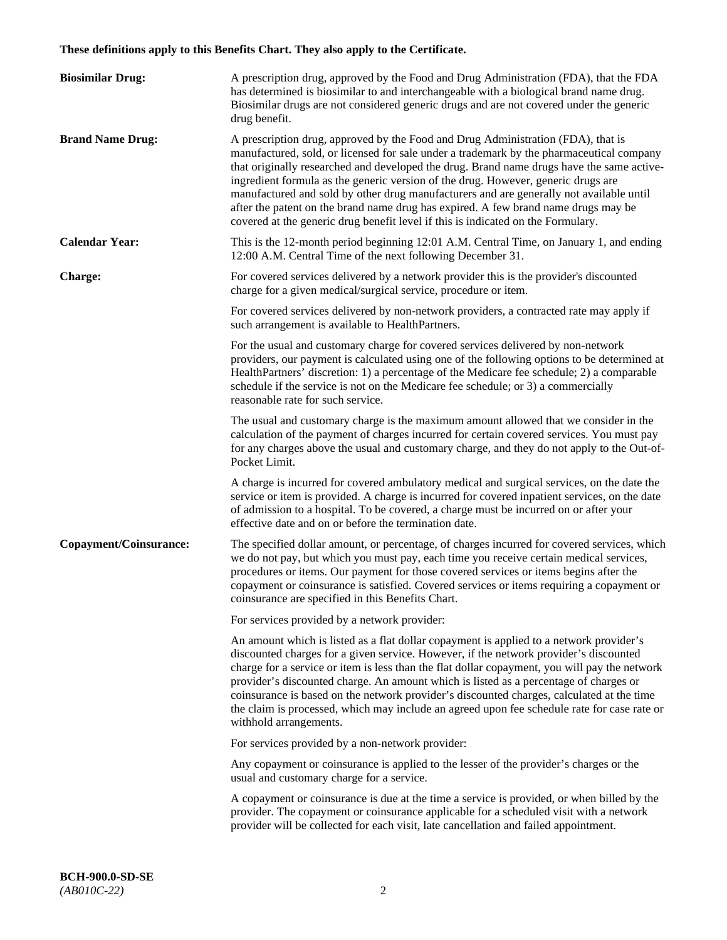# **These definitions apply to this Benefits Chart. They also apply to the Certificate.**

| <b>Biosimilar Drug:</b> | A prescription drug, approved by the Food and Drug Administration (FDA), that the FDA<br>has determined is biosimilar to and interchangeable with a biological brand name drug.<br>Biosimilar drugs are not considered generic drugs and are not covered under the generic<br>drug benefit.                                                                                                                                                                                                                                                                                                                                         |
|-------------------------|-------------------------------------------------------------------------------------------------------------------------------------------------------------------------------------------------------------------------------------------------------------------------------------------------------------------------------------------------------------------------------------------------------------------------------------------------------------------------------------------------------------------------------------------------------------------------------------------------------------------------------------|
| <b>Brand Name Drug:</b> | A prescription drug, approved by the Food and Drug Administration (FDA), that is<br>manufactured, sold, or licensed for sale under a trademark by the pharmaceutical company<br>that originally researched and developed the drug. Brand name drugs have the same active-<br>ingredient formula as the generic version of the drug. However, generic drugs are<br>manufactured and sold by other drug manufacturers and are generally not available until<br>after the patent on the brand name drug has expired. A few brand name drugs may be<br>covered at the generic drug benefit level if this is indicated on the Formulary. |
| <b>Calendar Year:</b>   | This is the 12-month period beginning 12:01 A.M. Central Time, on January 1, and ending<br>12:00 A.M. Central Time of the next following December 31.                                                                                                                                                                                                                                                                                                                                                                                                                                                                               |
| <b>Charge:</b>          | For covered services delivered by a network provider this is the provider's discounted<br>charge for a given medical/surgical service, procedure or item.                                                                                                                                                                                                                                                                                                                                                                                                                                                                           |
|                         | For covered services delivered by non-network providers, a contracted rate may apply if<br>such arrangement is available to HealthPartners.                                                                                                                                                                                                                                                                                                                                                                                                                                                                                         |
|                         | For the usual and customary charge for covered services delivered by non-network<br>providers, our payment is calculated using one of the following options to be determined at<br>HealthPartners' discretion: 1) a percentage of the Medicare fee schedule; 2) a comparable<br>schedule if the service is not on the Medicare fee schedule; or 3) a commercially<br>reasonable rate for such service.                                                                                                                                                                                                                              |
|                         | The usual and customary charge is the maximum amount allowed that we consider in the<br>calculation of the payment of charges incurred for certain covered services. You must pay<br>for any charges above the usual and customary charge, and they do not apply to the Out-of-<br>Pocket Limit.                                                                                                                                                                                                                                                                                                                                    |
|                         | A charge is incurred for covered ambulatory medical and surgical services, on the date the<br>service or item is provided. A charge is incurred for covered inpatient services, on the date<br>of admission to a hospital. To be covered, a charge must be incurred on or after your<br>effective date and on or before the termination date.                                                                                                                                                                                                                                                                                       |
| Copayment/Coinsurance:  | The specified dollar amount, or percentage, of charges incurred for covered services, which<br>we do not pay, but which you must pay, each time you receive certain medical services,<br>procedures or items. Our payment for those covered services or items begins after the<br>copayment or coinsurance is satisfied. Covered services or items requiring a copayment or<br>coinsurance are specified in this Benefits Chart.                                                                                                                                                                                                    |
|                         | For services provided by a network provider:                                                                                                                                                                                                                                                                                                                                                                                                                                                                                                                                                                                        |
|                         | An amount which is listed as a flat dollar copayment is applied to a network provider's<br>discounted charges for a given service. However, if the network provider's discounted<br>charge for a service or item is less than the flat dollar copayment, you will pay the network<br>provider's discounted charge. An amount which is listed as a percentage of charges or<br>coinsurance is based on the network provider's discounted charges, calculated at the time<br>the claim is processed, which may include an agreed upon fee schedule rate for case rate or<br>withhold arrangements.                                    |
|                         | For services provided by a non-network provider:                                                                                                                                                                                                                                                                                                                                                                                                                                                                                                                                                                                    |
|                         | Any copayment or coinsurance is applied to the lesser of the provider's charges or the<br>usual and customary charge for a service.                                                                                                                                                                                                                                                                                                                                                                                                                                                                                                 |
|                         | A copayment or coinsurance is due at the time a service is provided, or when billed by the<br>provider. The copayment or coinsurance applicable for a scheduled visit with a network<br>provider will be collected for each visit, late cancellation and failed appointment.                                                                                                                                                                                                                                                                                                                                                        |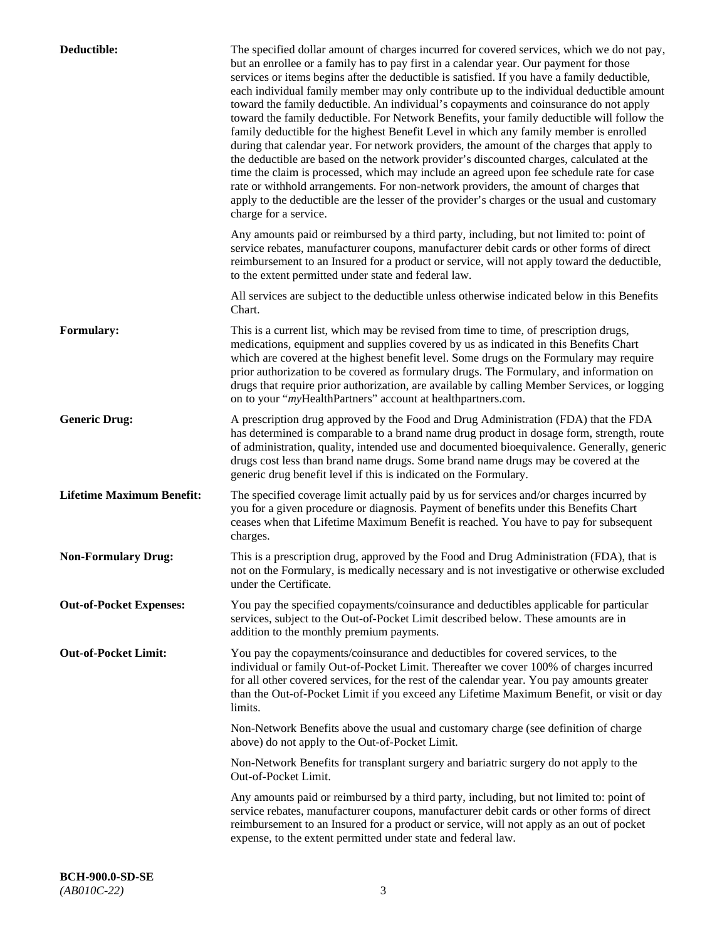| Deductible:                      | The specified dollar amount of charges incurred for covered services, which we do not pay,<br>but an enrollee or a family has to pay first in a calendar year. Our payment for those<br>services or items begins after the deductible is satisfied. If you have a family deductible,<br>each individual family member may only contribute up to the individual deductible amount<br>toward the family deductible. An individual's copayments and coinsurance do not apply<br>toward the family deductible. For Network Benefits, your family deductible will follow the<br>family deductible for the highest Benefit Level in which any family member is enrolled<br>during that calendar year. For network providers, the amount of the charges that apply to<br>the deductible are based on the network provider's discounted charges, calculated at the<br>time the claim is processed, which may include an agreed upon fee schedule rate for case<br>rate or withhold arrangements. For non-network providers, the amount of charges that<br>apply to the deductible are the lesser of the provider's charges or the usual and customary<br>charge for a service. |
|----------------------------------|------------------------------------------------------------------------------------------------------------------------------------------------------------------------------------------------------------------------------------------------------------------------------------------------------------------------------------------------------------------------------------------------------------------------------------------------------------------------------------------------------------------------------------------------------------------------------------------------------------------------------------------------------------------------------------------------------------------------------------------------------------------------------------------------------------------------------------------------------------------------------------------------------------------------------------------------------------------------------------------------------------------------------------------------------------------------------------------------------------------------------------------------------------------------|
|                                  | Any amounts paid or reimbursed by a third party, including, but not limited to: point of<br>service rebates, manufacturer coupons, manufacturer debit cards or other forms of direct<br>reimbursement to an Insured for a product or service, will not apply toward the deductible,<br>to the extent permitted under state and federal law.                                                                                                                                                                                                                                                                                                                                                                                                                                                                                                                                                                                                                                                                                                                                                                                                                            |
|                                  | All services are subject to the deductible unless otherwise indicated below in this Benefits<br>Chart.                                                                                                                                                                                                                                                                                                                                                                                                                                                                                                                                                                                                                                                                                                                                                                                                                                                                                                                                                                                                                                                                 |
| <b>Formulary:</b>                | This is a current list, which may be revised from time to time, of prescription drugs,<br>medications, equipment and supplies covered by us as indicated in this Benefits Chart<br>which are covered at the highest benefit level. Some drugs on the Formulary may require<br>prior authorization to be covered as formulary drugs. The Formulary, and information on<br>drugs that require prior authorization, are available by calling Member Services, or logging<br>on to your "myHealthPartners" account at healthpartners.com.                                                                                                                                                                                                                                                                                                                                                                                                                                                                                                                                                                                                                                  |
| <b>Generic Drug:</b>             | A prescription drug approved by the Food and Drug Administration (FDA) that the FDA<br>has determined is comparable to a brand name drug product in dosage form, strength, route<br>of administration, quality, intended use and documented bioequivalence. Generally, generic<br>drugs cost less than brand name drugs. Some brand name drugs may be covered at the<br>generic drug benefit level if this is indicated on the Formulary.                                                                                                                                                                                                                                                                                                                                                                                                                                                                                                                                                                                                                                                                                                                              |
| <b>Lifetime Maximum Benefit:</b> | The specified coverage limit actually paid by us for services and/or charges incurred by<br>you for a given procedure or diagnosis. Payment of benefits under this Benefits Chart<br>ceases when that Lifetime Maximum Benefit is reached. You have to pay for subsequent<br>charges.                                                                                                                                                                                                                                                                                                                                                                                                                                                                                                                                                                                                                                                                                                                                                                                                                                                                                  |
| <b>Non-Formulary Drug:</b>       | This is a prescription drug, approved by the Food and Drug Administration (FDA), that is<br>not on the Formulary, is medically necessary and is not investigative or otherwise excluded<br>under the Certificate.                                                                                                                                                                                                                                                                                                                                                                                                                                                                                                                                                                                                                                                                                                                                                                                                                                                                                                                                                      |
| <b>Out-of-Pocket Expenses:</b>   | You pay the specified copayments/coinsurance and deductibles applicable for particular<br>services, subject to the Out-of-Pocket Limit described below. These amounts are in<br>addition to the monthly premium payments.                                                                                                                                                                                                                                                                                                                                                                                                                                                                                                                                                                                                                                                                                                                                                                                                                                                                                                                                              |
| <b>Out-of-Pocket Limit:</b>      | You pay the copayments/coinsurance and deductibles for covered services, to the<br>individual or family Out-of-Pocket Limit. Thereafter we cover 100% of charges incurred<br>for all other covered services, for the rest of the calendar year. You pay amounts greater<br>than the Out-of-Pocket Limit if you exceed any Lifetime Maximum Benefit, or visit or day<br>limits.                                                                                                                                                                                                                                                                                                                                                                                                                                                                                                                                                                                                                                                                                                                                                                                         |
|                                  | Non-Network Benefits above the usual and customary charge (see definition of charge<br>above) do not apply to the Out-of-Pocket Limit.                                                                                                                                                                                                                                                                                                                                                                                                                                                                                                                                                                                                                                                                                                                                                                                                                                                                                                                                                                                                                                 |
|                                  | Non-Network Benefits for transplant surgery and bariatric surgery do not apply to the<br>Out-of-Pocket Limit.                                                                                                                                                                                                                                                                                                                                                                                                                                                                                                                                                                                                                                                                                                                                                                                                                                                                                                                                                                                                                                                          |
|                                  | Any amounts paid or reimbursed by a third party, including, but not limited to: point of<br>service rebates, manufacturer coupons, manufacturer debit cards or other forms of direct<br>reimbursement to an Insured for a product or service, will not apply as an out of pocket<br>expense, to the extent permitted under state and federal law.                                                                                                                                                                                                                                                                                                                                                                                                                                                                                                                                                                                                                                                                                                                                                                                                                      |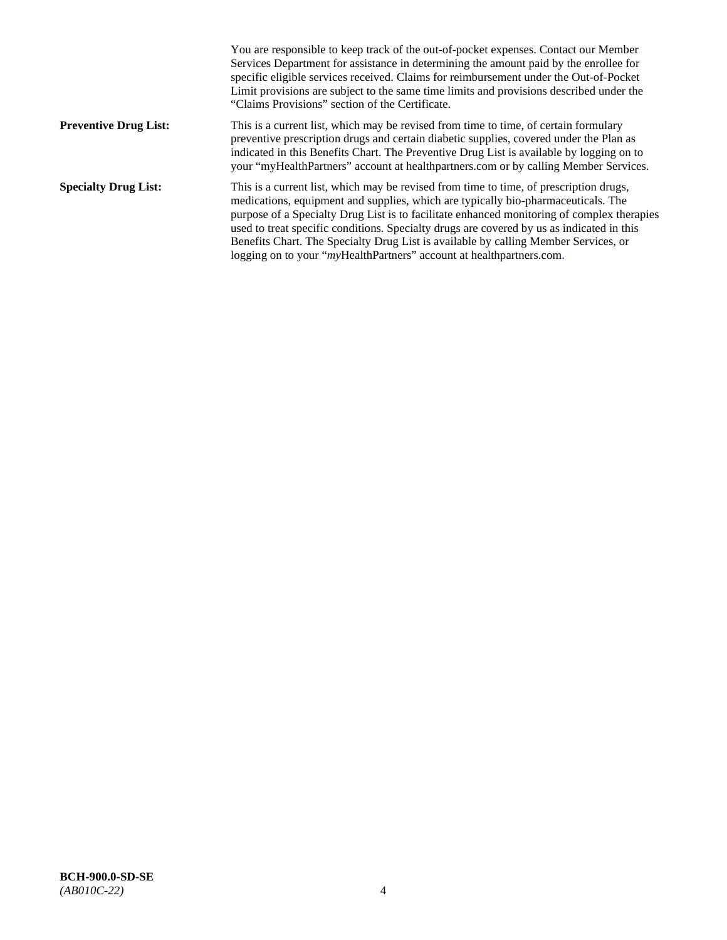|                              | You are responsible to keep track of the out-of-pocket expenses. Contact our Member<br>Services Department for assistance in determining the amount paid by the enrollee for<br>specific eligible services received. Claims for reimbursement under the Out-of-Pocket<br>Limit provisions are subject to the same time limits and provisions described under the<br>"Claims Provisions" section of the Certificate.                                                                                                                   |
|------------------------------|---------------------------------------------------------------------------------------------------------------------------------------------------------------------------------------------------------------------------------------------------------------------------------------------------------------------------------------------------------------------------------------------------------------------------------------------------------------------------------------------------------------------------------------|
| <b>Preventive Drug List:</b> | This is a current list, which may be revised from time to time, of certain formulary<br>preventive prescription drugs and certain diabetic supplies, covered under the Plan as<br>indicated in this Benefits Chart. The Preventive Drug List is available by logging on to<br>your "myHealthPartners" account at healthpartners.com or by calling Member Services.                                                                                                                                                                    |
| <b>Specialty Drug List:</b>  | This is a current list, which may be revised from time to time, of prescription drugs,<br>medications, equipment and supplies, which are typically bio-pharmaceuticals. The<br>purpose of a Specialty Drug List is to facilitate enhanced monitoring of complex therapies<br>used to treat specific conditions. Specialty drugs are covered by us as indicated in this<br>Benefits Chart. The Specialty Drug List is available by calling Member Services, or<br>logging on to your "myHealthPartners" account at healthpartners.com. |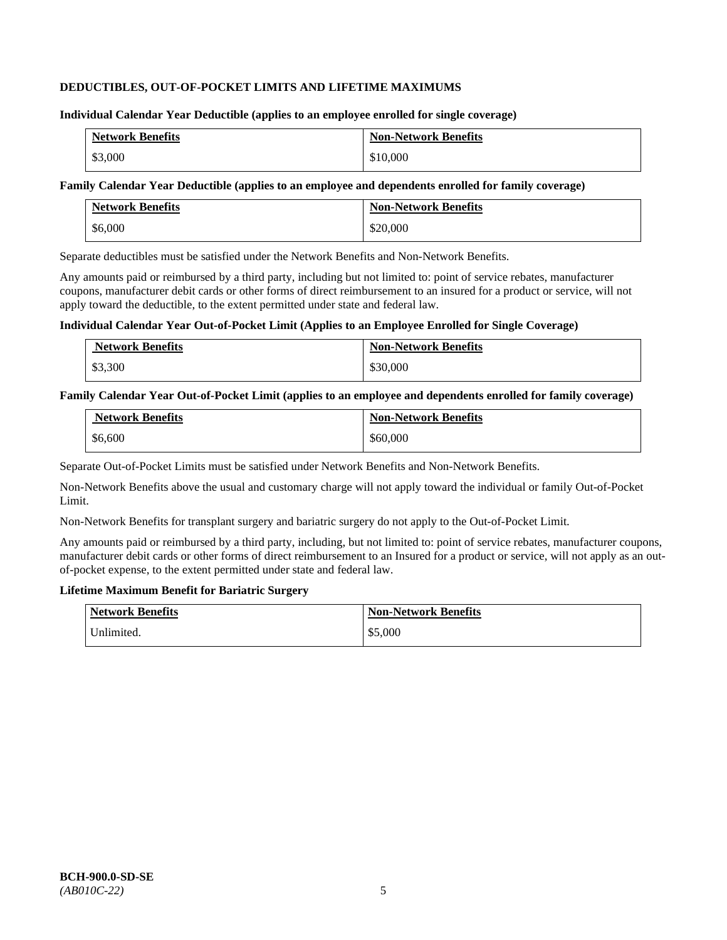# **DEDUCTIBLES, OUT-OF-POCKET LIMITS AND LIFETIME MAXIMUMS**

#### **Individual Calendar Year Deductible (applies to an employee enrolled for single coverage)**

| <b>Network Benefits</b> | <b>Non-Network Benefits</b> |
|-------------------------|-----------------------------|
| \$3,000                 | \$10,000                    |

### **Family Calendar Year Deductible (applies to an employee and dependents enrolled for family coverage)**

| <b>Network Benefits</b> | <b>Non-Network Benefits</b> |
|-------------------------|-----------------------------|
| \$6,000                 | \$20,000                    |

Separate deductibles must be satisfied under the Network Benefits and Non-Network Benefits.

Any amounts paid or reimbursed by a third party, including but not limited to: point of service rebates, manufacturer coupons, manufacturer debit cards or other forms of direct reimbursement to an insured for a product or service, will not apply toward the deductible, to the extent permitted under state and federal law.

#### **Individual Calendar Year Out-of-Pocket Limit (Applies to an Employee Enrolled for Single Coverage)**

| <b>Network Benefits</b> | <b>Non-Network Benefits</b> |
|-------------------------|-----------------------------|
| \$3,300                 | \$30,000                    |

#### **Family Calendar Year Out-of-Pocket Limit (applies to an employee and dependents enrolled for family coverage)**

| <b>Network Benefits</b> | <b>Non-Network Benefits</b> |
|-------------------------|-----------------------------|
| \$6,600                 | \$60,000                    |

Separate Out-of-Pocket Limits must be satisfied under Network Benefits and Non-Network Benefits.

Non-Network Benefits above the usual and customary charge will not apply toward the individual or family Out-of-Pocket Limit.

Non-Network Benefits for transplant surgery and bariatric surgery do not apply to the Out-of-Pocket Limit.

Any amounts paid or reimbursed by a third party, including, but not limited to: point of service rebates, manufacturer coupons, manufacturer debit cards or other forms of direct reimbursement to an Insured for a product or service, will not apply as an outof-pocket expense, to the extent permitted under state and federal law.

### **Lifetime Maximum Benefit for Bariatric Surgery**

| <b>Network Benefits</b> | <b>Non-Network Benefits</b> |
|-------------------------|-----------------------------|
| Unlimited.              | \$5,000                     |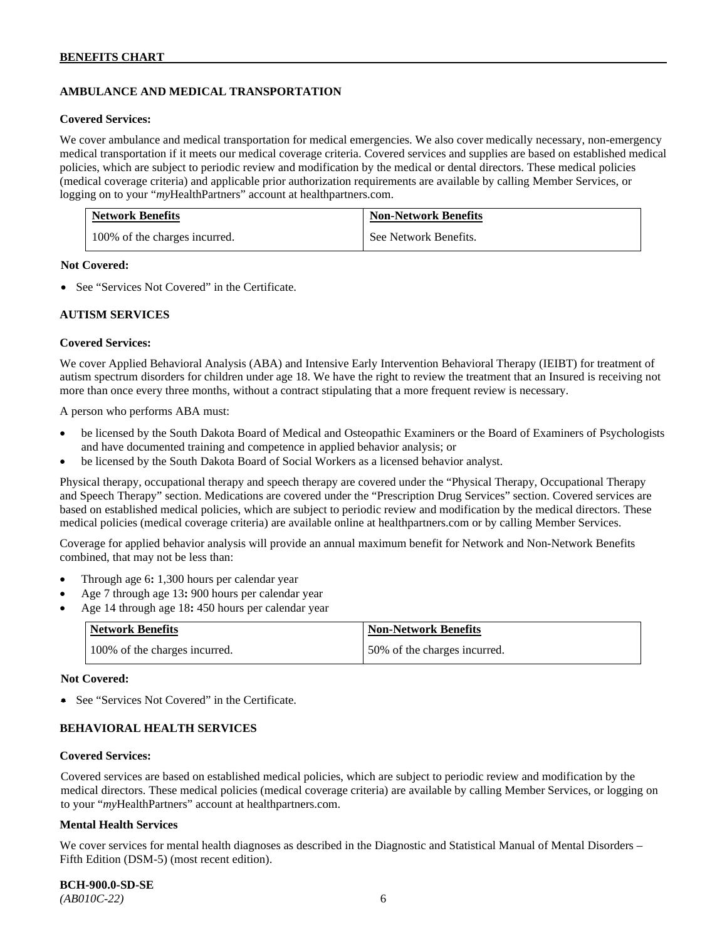# **AMBULANCE AND MEDICAL TRANSPORTATION**

#### **Covered Services:**

We cover ambulance and medical transportation for medical emergencies. We also cover medically necessary, non-emergency medical transportation if it meets our medical coverage criteria. Covered services and supplies are based on established medical policies, which are subject to periodic review and modification by the medical or dental directors. These medical policies (medical coverage criteria) and applicable prior authorization requirements are available by calling Member Services, or logging on to your "*my*HealthPartners" account at [healthpartners.com.](http://healthpartners.com/)

| <b>Network Benefits</b>       | <b>Non-Network Benefits</b> |
|-------------------------------|-----------------------------|
| 100% of the charges incurred. | See Network Benefits.       |

### **Not Covered:**

• See "Services Not Covered" in the Certificate.

### **AUTISM SERVICES**

### **Covered Services:**

We cover Applied Behavioral Analysis (ABA) and Intensive Early Intervention Behavioral Therapy (IEIBT) for treatment of autism spectrum disorders for children under age 18. We have the right to review the treatment that an Insured is receiving not more than once every three months, without a contract stipulating that a more frequent review is necessary.

A person who performs ABA must:

- be licensed by the South Dakota Board of Medical and Osteopathic Examiners or the Board of Examiners of Psychologists and have documented training and competence in applied behavior analysis; or
- be licensed by the South Dakota Board of Social Workers as a licensed behavior analyst.

Physical therapy, occupational therapy and speech therapy are covered under the "Physical Therapy, Occupational Therapy and Speech Therapy" section. Medications are covered under the "Prescription Drug Services" section. Covered services are based on established medical policies, which are subject to periodic review and modification by the medical directors. These medical policies (medical coverage criteria) are available online at [healthpartners.com](http://healthpartners.com/) or by calling Member Services.

Coverage for applied behavior analysis will provide an annual maximum benefit for Network and Non-Network Benefits combined, that may not be less than:

- Through age 6**:** 1,300 hours per calendar year
- Age 7 through age 13**:** 900 hours per calendar year
- Age 14 through age 18**:** 450 hours per calendar year

| <b>Network Benefits</b>       | <b>Non-Network Benefits</b>  |
|-------------------------------|------------------------------|
| 100% of the charges incurred. | 50% of the charges incurred. |

#### **Not Covered:**

• See "Services Not Covered" in the Certificate.

# **BEHAVIORAL HEALTH SERVICES**

#### **Covered Services:**

Covered services are based on established medical policies, which are subject to periodic review and modification by the medical directors. These medical policies (medical coverage criteria) are available by calling Member Services, or logging on to your "*my*HealthPartners" account at [healthpartners.com.](http://healthpartners.com/)

#### **Mental Health Services**

We cover services for mental health diagnoses as described in the Diagnostic and Statistical Manual of Mental Disorders – Fifth Edition (DSM-5) (most recent edition).

**BCH-900.0-SD-SE**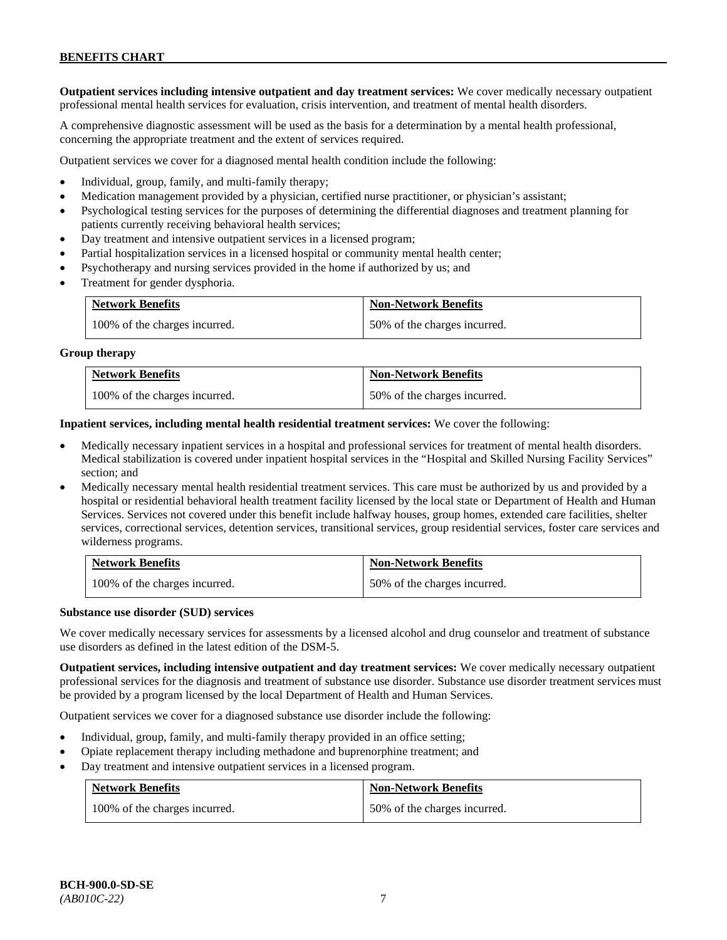**Outpatient services including intensive outpatient and day treatment services:** We cover medically necessary outpatient professional mental health services for evaluation, crisis intervention, and treatment of mental health disorders.

A comprehensive diagnostic assessment will be used as the basis for a determination by a mental health professional, concerning the appropriate treatment and the extent of services required.

Outpatient services we cover for a diagnosed mental health condition include the following:

- Individual, group, family, and multi-family therapy;
- Medication management provided by a physician, certified nurse practitioner, or physician's assistant;
- Psychological testing services for the purposes of determining the differential diagnoses and treatment planning for patients currently receiving behavioral health services;
- Day treatment and intensive outpatient services in a licensed program;
- Partial hospitalization services in a licensed hospital or community mental health center;
- Psychotherapy and nursing services provided in the home if authorized by us; and
- Treatment for gender dysphoria.

| <b>Network Benefits</b>       | <b>Non-Network Benefits</b>  |
|-------------------------------|------------------------------|
| 100% of the charges incurred. | 50% of the charges incurred. |

#### **Group therapy**

| <b>Network Benefits</b>       | <b>Non-Network Benefits</b>  |
|-------------------------------|------------------------------|
| 100% of the charges incurred. | 50% of the charges incurred. |

**Inpatient services, including mental health residential treatment services:** We cover the following:

- Medically necessary inpatient services in a hospital and professional services for treatment of mental health disorders. Medical stabilization is covered under inpatient hospital services in the "Hospital and Skilled Nursing Facility Services" section; and
- Medically necessary mental health residential treatment services. This care must be authorized by us and provided by a hospital or residential behavioral health treatment facility licensed by the local state or Department of Health and Human Services. Services not covered under this benefit include halfway houses, group homes, extended care facilities, shelter services, correctional services, detention services, transitional services, group residential services, foster care services and wilderness programs.

| <b>Network Benefits</b>       | <b>Non-Network Benefits</b>  |
|-------------------------------|------------------------------|
| 100% of the charges incurred. | 50% of the charges incurred. |

#### **Substance use disorder (SUD) services**

We cover medically necessary services for assessments by a licensed alcohol and drug counselor and treatment of substance use disorders as defined in the latest edition of the DSM-5.

**Outpatient services, including intensive outpatient and day treatment services:** We cover medically necessary outpatient professional services for the diagnosis and treatment of substance use disorder. Substance use disorder treatment services must be provided by a program licensed by the local Department of Health and Human Services.

Outpatient services we cover for a diagnosed substance use disorder include the following:

- Individual, group, family, and multi-family therapy provided in an office setting;
- Opiate replacement therapy including methadone and buprenorphine treatment; and
- Day treatment and intensive outpatient services in a licensed program.

| <b>Network Benefits</b>       | <b>Non-Network Benefits</b>  |
|-------------------------------|------------------------------|
| 100% of the charges incurred. | 50% of the charges incurred. |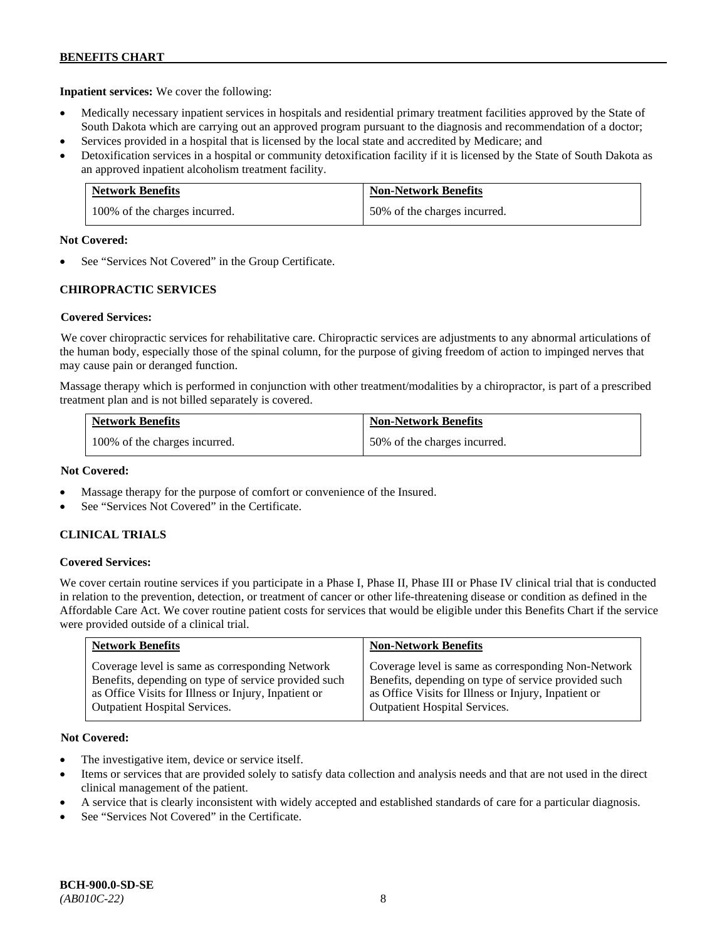**Inpatient services:** We cover the following:

- Medically necessary inpatient services in hospitals and residential primary treatment facilities approved by the State of South Dakota which are carrying out an approved program pursuant to the diagnosis and recommendation of a doctor;
- Services provided in a hospital that is licensed by the local state and accredited by Medicare; and
- Detoxification services in a hospital or community detoxification facility if it is licensed by the State of South Dakota as an approved inpatient alcoholism treatment facility.

| <b>Network Benefits</b>       | <b>Non-Network Benefits</b>  |
|-------------------------------|------------------------------|
| 100% of the charges incurred. | 50% of the charges incurred. |

### **Not Covered:**

See "Services Not Covered" in the Group Certificate.

# **CHIROPRACTIC SERVICES**

# **Covered Services:**

We cover chiropractic services for rehabilitative care. Chiropractic services are adjustments to any abnormal articulations of the human body, especially those of the spinal column, for the purpose of giving freedom of action to impinged nerves that may cause pain or deranged function.

Massage therapy which is performed in conjunction with other treatment/modalities by a chiropractor, is part of a prescribed treatment plan and is not billed separately is covered.

| <b>Network Benefits</b>       | <b>Non-Network Benefits</b>  |
|-------------------------------|------------------------------|
| 100% of the charges incurred. | 50% of the charges incurred. |

# **Not Covered:**

- Massage therapy for the purpose of comfort or convenience of the Insured.
- See "Services Not Covered" in the Certificate.

# **CLINICAL TRIALS**

# **Covered Services:**

We cover certain routine services if you participate in a Phase I, Phase II, Phase III or Phase IV clinical trial that is conducted in relation to the prevention, detection, or treatment of cancer or other life-threatening disease or condition as defined in the Affordable Care Act. We cover routine patient costs for services that would be eligible under this Benefits Chart if the service were provided outside of a clinical trial.

| <b>Network Benefits</b>                              | <b>Non-Network Benefits</b>                          |
|------------------------------------------------------|------------------------------------------------------|
| Coverage level is same as corresponding Network      | Coverage level is same as corresponding Non-Network  |
| Benefits, depending on type of service provided such | Benefits, depending on type of service provided such |
| as Office Visits for Illness or Injury, Inpatient or | as Office Visits for Illness or Injury, Inpatient or |
| <b>Outpatient Hospital Services.</b>                 | Outpatient Hospital Services.                        |

# **Not Covered:**

- The investigative item, device or service itself.
- Items or services that are provided solely to satisfy data collection and analysis needs and that are not used in the direct clinical management of the patient.
- A service that is clearly inconsistent with widely accepted and established standards of care for a particular diagnosis.
- See "Services Not Covered" in the Certificate.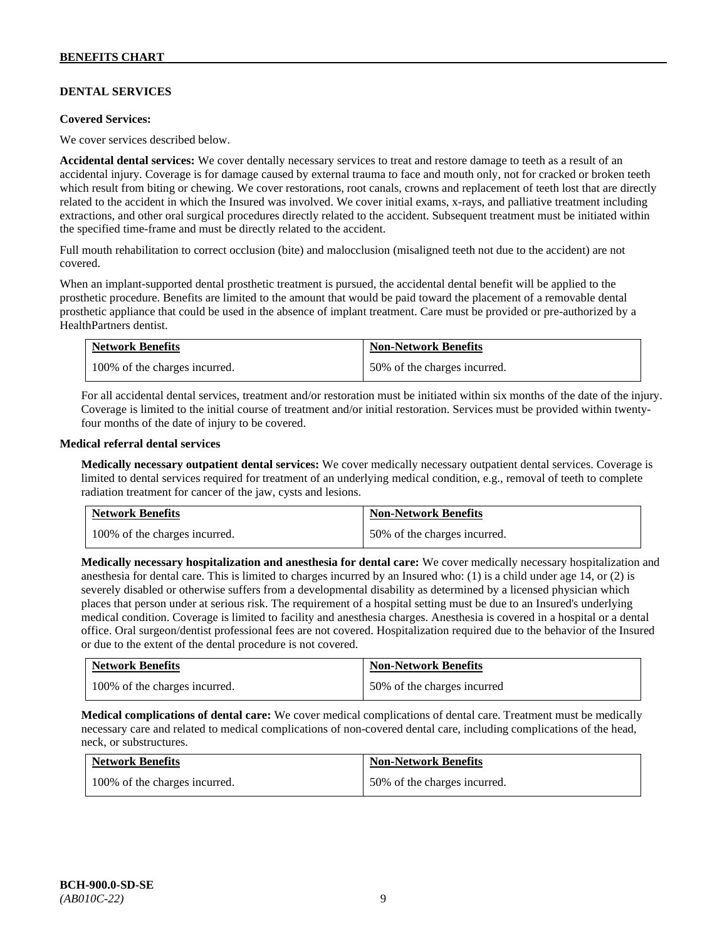# **DENTAL SERVICES**

#### **Covered Services:**

We cover services described below.

**Accidental dental services:** We cover dentally necessary services to treat and restore damage to teeth as a result of an accidental injury. Coverage is for damage caused by external trauma to face and mouth only, not for cracked or broken teeth which result from biting or chewing. We cover restorations, root canals, crowns and replacement of teeth lost that are directly related to the accident in which the Insured was involved. We cover initial exams, x-rays, and palliative treatment including extractions, and other oral surgical procedures directly related to the accident. Subsequent treatment must be initiated within the specified time-frame and must be directly related to the accident.

Full mouth rehabilitation to correct occlusion (bite) and malocclusion (misaligned teeth not due to the accident) are not covered.

When an implant-supported dental prosthetic treatment is pursued, the accidental dental benefit will be applied to the prosthetic procedure. Benefits are limited to the amount that would be paid toward the placement of a removable dental prosthetic appliance that could be used in the absence of implant treatment. Care must be provided or pre-authorized by a HealthPartners dentist.

| <b>Network Benefits</b>       | <b>Non-Network Benefits</b>  |
|-------------------------------|------------------------------|
| 100% of the charges incurred. | 50% of the charges incurred. |

For all accidental dental services, treatment and/or restoration must be initiated within six months of the date of the injury. Coverage is limited to the initial course of treatment and/or initial restoration. Services must be provided within twentyfour months of the date of injury to be covered.

### **Medical referral dental services**

**Medically necessary outpatient dental services:** We cover medically necessary outpatient dental services. Coverage is limited to dental services required for treatment of an underlying medical condition, e.g., removal of teeth to complete radiation treatment for cancer of the jaw, cysts and lesions.

| <b>Network Benefits</b>       | <b>Non-Network Benefits</b>  |
|-------------------------------|------------------------------|
| 100% of the charges incurred. | 50% of the charges incurred. |

**Medically necessary hospitalization and anesthesia for dental care:** We cover medically necessary hospitalization and anesthesia for dental care. This is limited to charges incurred by an Insured who: (1) is a child under age 14, or (2) is severely disabled or otherwise suffers from a developmental disability as determined by a licensed physician which places that person under at serious risk. The requirement of a hospital setting must be due to an Insured's underlying medical condition. Coverage is limited to facility and anesthesia charges. Anesthesia is covered in a hospital or a dental office. Oral surgeon/dentist professional fees are not covered. Hospitalization required due to the behavior of the Insured or due to the extent of the dental procedure is not covered.

| <b>Network Benefits</b>       | <b>Non-Network Benefits</b> |
|-------------------------------|-----------------------------|
| 100% of the charges incurred. | 50% of the charges incurred |

**Medical complications of dental care:** We cover medical complications of dental care. Treatment must be medically necessary care and related to medical complications of non-covered dental care, including complications of the head, neck, or substructures.

| <b>Network Benefits</b>       | <b>Non-Network Benefits</b>  |
|-------------------------------|------------------------------|
| 100% of the charges incurred. | 50% of the charges incurred. |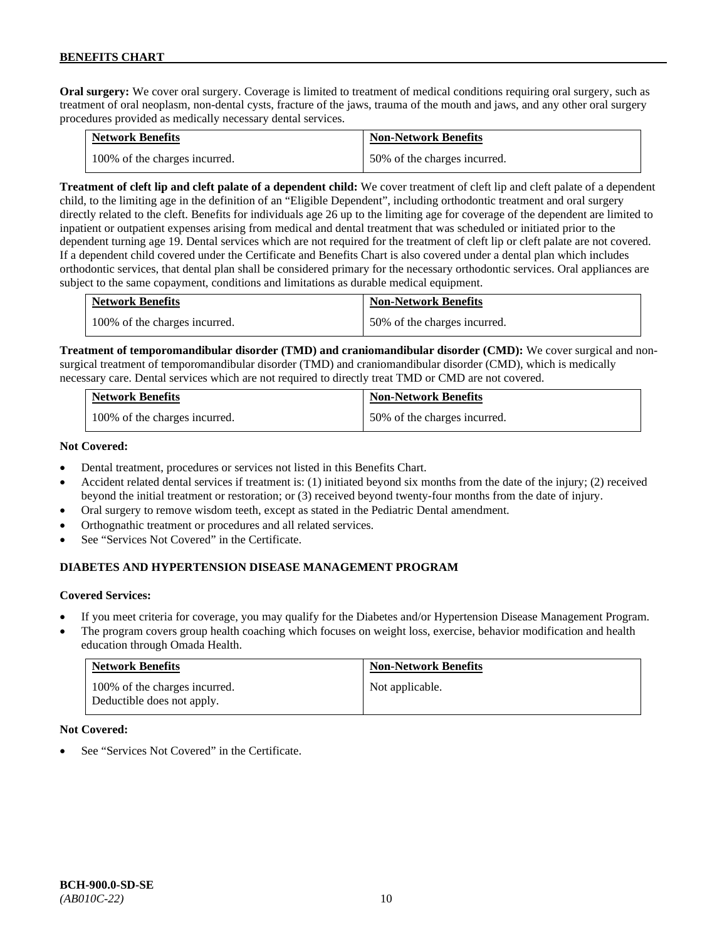**Oral surgery:** We cover oral surgery. Coverage is limited to treatment of medical conditions requiring oral surgery, such as treatment of oral neoplasm, non-dental cysts, fracture of the jaws, trauma of the mouth and jaws, and any other oral surgery procedures provided as medically necessary dental services.

| <b>Network Benefits</b>       | <b>Non-Network Benefits</b>  |
|-------------------------------|------------------------------|
| 100% of the charges incurred. | 50% of the charges incurred. |

**Treatment of cleft lip and cleft palate of a dependent child:** We cover treatment of cleft lip and cleft palate of a dependent child, to the limiting age in the definition of an "Eligible Dependent", including orthodontic treatment and oral surgery directly related to the cleft. Benefits for individuals age 26 up to the limiting age for coverage of the dependent are limited to inpatient or outpatient expenses arising from medical and dental treatment that was scheduled or initiated prior to the dependent turning age 19. Dental services which are not required for the treatment of cleft lip or cleft palate are not covered. If a dependent child covered under the Certificate and Benefits Chart is also covered under a dental plan which includes orthodontic services, that dental plan shall be considered primary for the necessary orthodontic services. Oral appliances are subject to the same copayment, conditions and limitations as durable medical equipment.

| <b>Network Benefits</b>       | <b>Non-Network Benefits</b>  |
|-------------------------------|------------------------------|
| 100% of the charges incurred. | 50% of the charges incurred. |

**Treatment of temporomandibular disorder (TMD) and craniomandibular disorder (CMD):** We cover surgical and nonsurgical treatment of temporomandibular disorder (TMD) and craniomandibular disorder (CMD), which is medically necessary care. Dental services which are not required to directly treat TMD or CMD are not covered.

| <b>Network Benefits</b>       | <b>Non-Network Benefits</b>  |
|-------------------------------|------------------------------|
| 100% of the charges incurred. | 50% of the charges incurred. |

### **Not Covered:**

- Dental treatment, procedures or services not listed in this Benefits Chart.
- Accident related dental services if treatment is: (1) initiated beyond six months from the date of the injury; (2) received beyond the initial treatment or restoration; or (3) received beyond twenty-four months from the date of injury.
- Oral surgery to remove wisdom teeth, except as stated in the Pediatric Dental amendment.
- Orthognathic treatment or procedures and all related services.
- See "Services Not Covered" in the Certificate.

# **DIABETES AND HYPERTENSION DISEASE MANAGEMENT PROGRAM**

# **Covered Services:**

- If you meet criteria for coverage, you may qualify for the Diabetes and/or Hypertension Disease Management Program.
- The program covers group health coaching which focuses on weight loss, exercise, behavior modification and health education through Omada Health.

| <b>Network Benefits</b>                                     | <b>Non-Network Benefits</b> |
|-------------------------------------------------------------|-----------------------------|
| 100% of the charges incurred.<br>Deductible does not apply. | Not applicable.             |

#### **Not Covered:**

See "Services Not Covered" in the Certificate.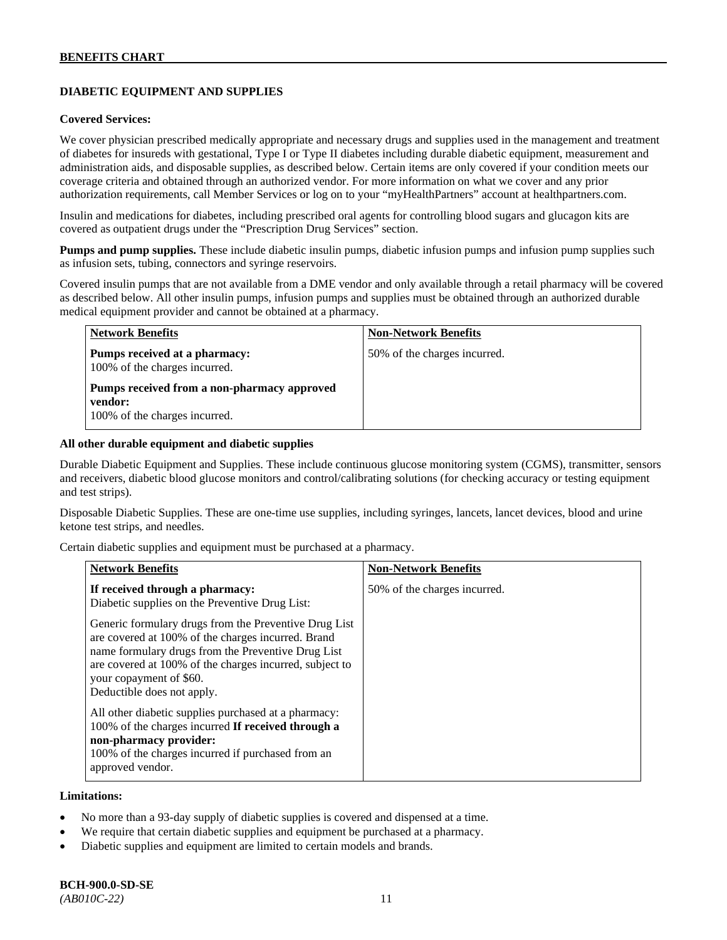# **DIABETIC EQUIPMENT AND SUPPLIES**

#### **Covered Services:**

We cover physician prescribed medically appropriate and necessary drugs and supplies used in the management and treatment of diabetes for insureds with gestational, Type I or Type II diabetes including durable diabetic equipment, measurement and administration aids, and disposable supplies, as described below. Certain items are only covered if your condition meets our coverage criteria and obtained through an authorized vendor. For more information on what we cover and any prior authorization requirements, call Member Services or log on to your "myHealthPartners" account at [healthpartners.com.](http://www.healthpartners.com/)

Insulin and medications for diabetes, including prescribed oral agents for controlling blood sugars and glucagon kits are covered as outpatient drugs under the "Prescription Drug Services" section.

**Pumps and pump supplies.** These include diabetic insulin pumps, diabetic infusion pumps and infusion pump supplies such as infusion sets, tubing, connectors and syringe reservoirs.

Covered insulin pumps that are not available from a DME vendor and only available through a retail pharmacy will be covered as described below. All other insulin pumps, infusion pumps and supplies must be obtained through an authorized durable medical equipment provider and cannot be obtained at a pharmacy.

| <b>Network Benefits</b>                                                                 | <b>Non-Network Benefits</b>  |
|-----------------------------------------------------------------------------------------|------------------------------|
| Pumps received at a pharmacy:<br>100% of the charges incurred.                          | 50% of the charges incurred. |
| Pumps received from a non-pharmacy approved<br>vendor:<br>100% of the charges incurred. |                              |

#### **All other durable equipment and diabetic supplies**

Durable Diabetic Equipment and Supplies. These include continuous glucose monitoring system (CGMS), transmitter, sensors and receivers, diabetic blood glucose monitors and control/calibrating solutions (for checking accuracy or testing equipment and test strips).

Disposable Diabetic Supplies. These are one-time use supplies, including syringes, lancets, lancet devices, blood and urine ketone test strips, and needles.

Certain diabetic supplies and equipment must be purchased at a pharmacy.

| <b>Network Benefits</b>                                                                                                                                                                                                                                                               | <b>Non-Network Benefits</b>  |
|---------------------------------------------------------------------------------------------------------------------------------------------------------------------------------------------------------------------------------------------------------------------------------------|------------------------------|
| If received through a pharmacy:<br>Diabetic supplies on the Preventive Drug List:                                                                                                                                                                                                     | 50% of the charges incurred. |
| Generic formulary drugs from the Preventive Drug List<br>are covered at 100% of the charges incurred. Brand<br>name formulary drugs from the Preventive Drug List<br>are covered at 100% of the charges incurred, subject to<br>your copayment of \$60.<br>Deductible does not apply. |                              |
| All other diabetic supplies purchased at a pharmacy:<br>100% of the charges incurred If received through a<br>non-pharmacy provider:<br>100% of the charges incurred if purchased from an<br>approved vendor.                                                                         |                              |

#### **Limitations:**

- No more than a 93-day supply of diabetic supplies is covered and dispensed at a time.
- We require that certain diabetic supplies and equipment be purchased at a pharmacy.
- Diabetic supplies and equipment are limited to certain models and brands.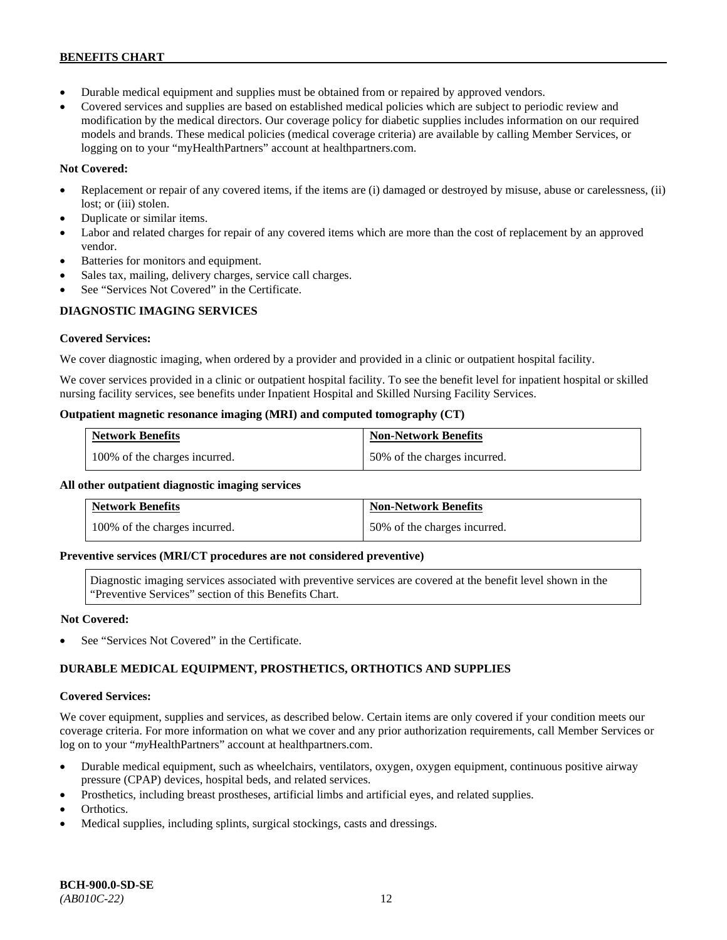- Durable medical equipment and supplies must be obtained from or repaired by approved vendors.
- Covered services and supplies are based on established medical policies which are subject to periodic review and modification by the medical directors. Our coverage policy for diabetic supplies includes information on our required models and brands. These medical policies (medical coverage criteria) are available by calling Member Services, or logging on to your "myHealthPartners" account at [healthpartners.com.](http://www.healthpartners.com/)

# **Not Covered:**

- Replacement or repair of any covered items, if the items are (i) damaged or destroyed by misuse, abuse or carelessness, (ii) lost; or (iii) stolen.
- Duplicate or similar items.
- Labor and related charges for repair of any covered items which are more than the cost of replacement by an approved vendor.
- Batteries for monitors and equipment.
- Sales tax, mailing, delivery charges, service call charges.
- See "Services Not Covered" in the Certificate.

# **DIAGNOSTIC IMAGING SERVICES**

# **Covered Services:**

We cover diagnostic imaging, when ordered by a provider and provided in a clinic or outpatient hospital facility.

We cover services provided in a clinic or outpatient hospital facility. To see the benefit level for inpatient hospital or skilled nursing facility services, see benefits under Inpatient Hospital and Skilled Nursing Facility Services.

# **Outpatient magnetic resonance imaging (MRI) and computed tomography (CT)**

| <b>Network Benefits</b>       | <b>Non-Network Benefits</b>  |
|-------------------------------|------------------------------|
| 100% of the charges incurred. | 50% of the charges incurred. |

# **All other outpatient diagnostic imaging services**

| <b>Network Benefits</b>       | <b>Non-Network Benefits</b>  |
|-------------------------------|------------------------------|
| 100% of the charges incurred. | 50% of the charges incurred. |

#### **Preventive services (MRI/CT procedures are not considered preventive)**

Diagnostic imaging services associated with preventive services are covered at the benefit level shown in the "Preventive Services" section of this Benefits Chart.

# **Not Covered:**

See "Services Not Covered" in the Certificate.

# **DURABLE MEDICAL EQUIPMENT, PROSTHETICS, ORTHOTICS AND SUPPLIES**

# **Covered Services:**

We cover equipment, supplies and services, as described below. Certain items are only covered if your condition meets our coverage criteria. For more information on what we cover and any prior authorization requirements, call Member Services or log on to your "myHealthPartners" account at [healthpartners.com.](http://healthpartners.com/)

- Durable medical equipment, such as wheelchairs, ventilators, oxygen, oxygen equipment, continuous positive airway pressure (CPAP) devices, hospital beds, and related services.
- Prosthetics, including breast prostheses, artificial limbs and artificial eyes, and related supplies.
- Orthotics.
- Medical supplies, including splints, surgical stockings, casts and dressings.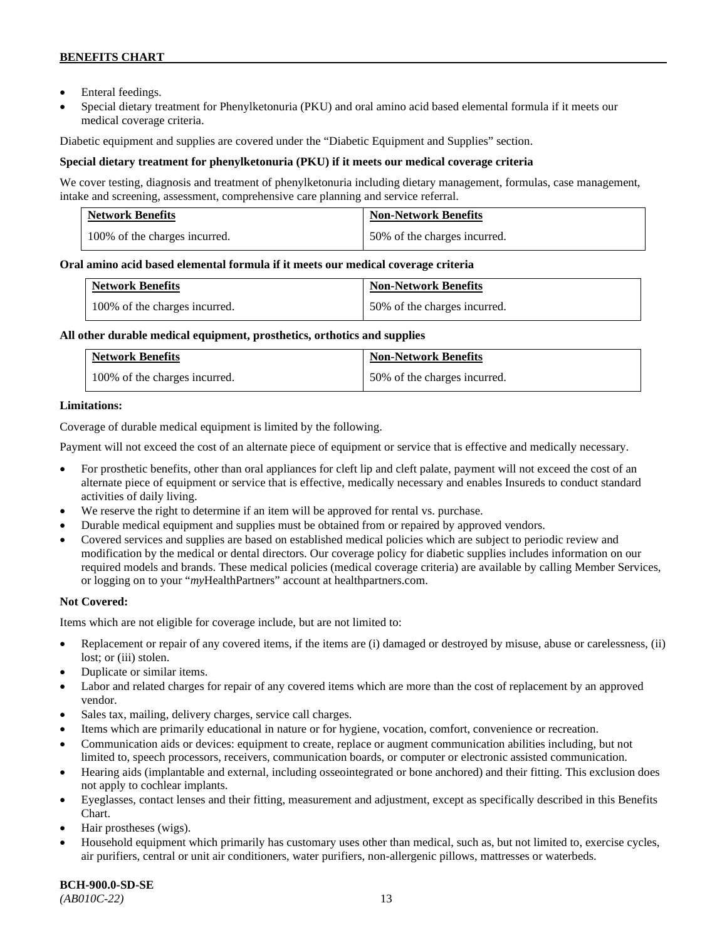- Enteral feedings.
- Special dietary treatment for Phenylketonuria (PKU) and oral amino acid based elemental formula if it meets our medical coverage criteria.

Diabetic equipment and supplies are covered under the "Diabetic Equipment and Supplies" section.

# **Special dietary treatment for phenylketonuria (PKU) if it meets our medical coverage criteria**

We cover testing, diagnosis and treatment of phenylketonuria including dietary management, formulas, case management, intake and screening, assessment, comprehensive care planning and service referral.

| <b>Network Benefits</b>       | <b>Non-Network Benefits</b>  |
|-------------------------------|------------------------------|
| 100% of the charges incurred. | 50% of the charges incurred. |

# **Oral amino acid based elemental formula if it meets our medical coverage criteria**

| <b>Network Benefits</b>       | <b>Non-Network Benefits</b>  |
|-------------------------------|------------------------------|
| 100% of the charges incurred. | 50% of the charges incurred. |

### **All other durable medical equipment, prosthetics, orthotics and supplies**

| <b>Network Benefits</b>       | <b>Non-Network Benefits</b>  |
|-------------------------------|------------------------------|
| 100% of the charges incurred. | 50% of the charges incurred. |

# **Limitations:**

Coverage of durable medical equipment is limited by the following.

Payment will not exceed the cost of an alternate piece of equipment or service that is effective and medically necessary.

- For prosthetic benefits, other than oral appliances for cleft lip and cleft palate, payment will not exceed the cost of an alternate piece of equipment or service that is effective, medically necessary and enables Insureds to conduct standard activities of daily living.
- We reserve the right to determine if an item will be approved for rental vs. purchase.
- Durable medical equipment and supplies must be obtained from or repaired by approved vendors.
- Covered services and supplies are based on established medical policies which are subject to periodic review and modification by the medical or dental directors. Our coverage policy for diabetic supplies includes information on our required models and brands. These medical policies (medical coverage criteria) are available by calling Member Services, or logging on to your "*my*HealthPartners" account at [healthpartners.com.](http://www.healthpartners.com/)

# **Not Covered:**

Items which are not eligible for coverage include, but are not limited to:

- Replacement or repair of any covered items, if the items are (i) damaged or destroyed by misuse, abuse or carelessness, (ii) lost; or (iii) stolen.
- Duplicate or similar items.
- Labor and related charges for repair of any covered items which are more than the cost of replacement by an approved vendor.
- Sales tax, mailing, delivery charges, service call charges.
- Items which are primarily educational in nature or for hygiene, vocation, comfort, convenience or recreation.
- Communication aids or devices: equipment to create, replace or augment communication abilities including, but not limited to, speech processors, receivers, communication boards, or computer or electronic assisted communication.
- Hearing aids (implantable and external, including osseointegrated or bone anchored) and their fitting. This exclusion does not apply to cochlear implants.
- Eyeglasses, contact lenses and their fitting, measurement and adjustment, except as specifically described in this Benefits Chart.
- Hair prostheses (wigs).
- Household equipment which primarily has customary uses other than medical, such as, but not limited to, exercise cycles, air purifiers, central or unit air conditioners, water purifiers, non-allergenic pillows, mattresses or waterbeds.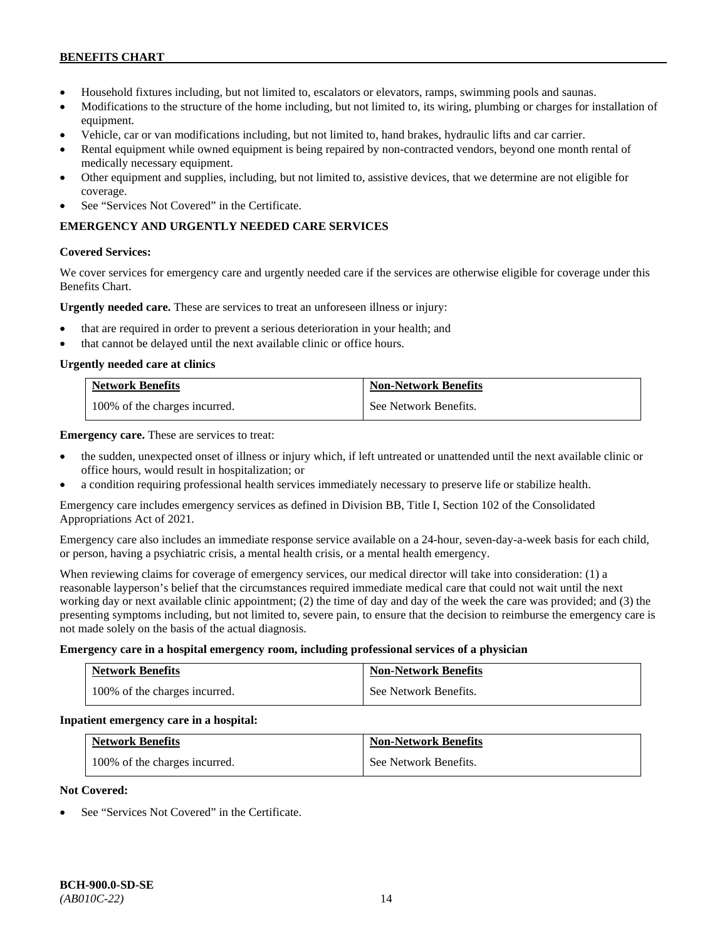- Household fixtures including, but not limited to, escalators or elevators, ramps, swimming pools and saunas.
- Modifications to the structure of the home including, but not limited to, its wiring, plumbing or charges for installation of equipment.
- Vehicle, car or van modifications including, but not limited to, hand brakes, hydraulic lifts and car carrier.
- Rental equipment while owned equipment is being repaired by non-contracted vendors, beyond one month rental of medically necessary equipment.
- Other equipment and supplies, including, but not limited to, assistive devices, that we determine are not eligible for coverage.
- See "Services Not Covered" in the Certificate.

# **EMERGENCY AND URGENTLY NEEDED CARE SERVICES**

# **Covered Services:**

We cover services for emergency care and urgently needed care if the services are otherwise eligible for coverage under this Benefits Chart.

**Urgently needed care.** These are services to treat an unforeseen illness or injury:

- that are required in order to prevent a serious deterioration in your health; and
- that cannot be delayed until the next available clinic or office hours.

### **Urgently needed care at clinics**

| <b>Network Benefits</b>       | <b>Non-Network Benefits</b> |
|-------------------------------|-----------------------------|
| 100% of the charges incurred. | See Network Benefits.       |

**Emergency care.** These are services to treat:

- the sudden, unexpected onset of illness or injury which, if left untreated or unattended until the next available clinic or office hours, would result in hospitalization; or
- a condition requiring professional health services immediately necessary to preserve life or stabilize health.

Emergency care includes emergency services as defined in Division BB, Title I, Section 102 of the Consolidated Appropriations Act of 2021.

Emergency care also includes an immediate response service available on a 24-hour, seven-day-a-week basis for each child, or person, having a psychiatric crisis, a mental health crisis, or a mental health emergency.

When reviewing claims for coverage of emergency services, our medical director will take into consideration: (1) a reasonable layperson's belief that the circumstances required immediate medical care that could not wait until the next working day or next available clinic appointment; (2) the time of day and day of the week the care was provided; and (3) the presenting symptoms including, but not limited to, severe pain, to ensure that the decision to reimburse the emergency care is not made solely on the basis of the actual diagnosis.

#### **Emergency care in a hospital emergency room, including professional services of a physician**

| <b>Network Benefits</b>       | <b>Non-Network Benefits</b> |
|-------------------------------|-----------------------------|
| 100% of the charges incurred. | See Network Benefits.       |

#### **Inpatient emergency care in a hospital:**

| <b>Network Benefits</b>       | <b>Non-Network Benefits</b> |
|-------------------------------|-----------------------------|
| 100% of the charges incurred. | See Network Benefits.       |

# **Not Covered:**

See "Services Not Covered" in the Certificate.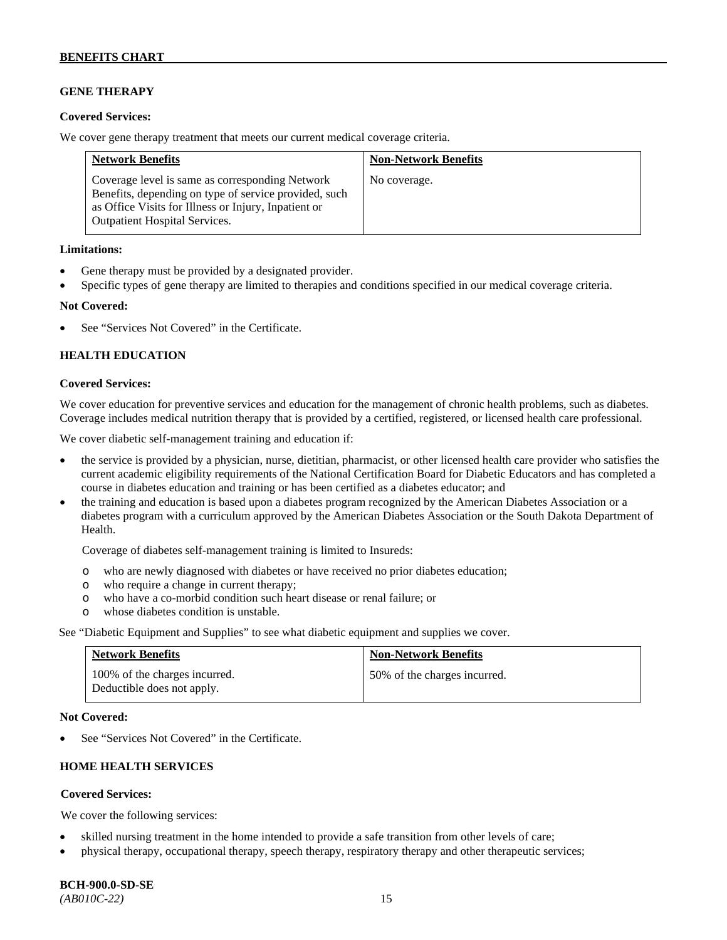# **GENE THERAPY**

### **Covered Services:**

We cover gene therapy treatment that meets our current medical coverage criteria.

| <b>Network Benefits</b>                                                                                                                                                                                  | <b>Non-Network Benefits</b> |
|----------------------------------------------------------------------------------------------------------------------------------------------------------------------------------------------------------|-----------------------------|
| Coverage level is same as corresponding Network<br>Benefits, depending on type of service provided, such<br>as Office Visits for Illness or Injury, Inpatient or<br><b>Outpatient Hospital Services.</b> | No coverage.                |

### **Limitations:**

- Gene therapy must be provided by a designated provider.
- Specific types of gene therapy are limited to therapies and conditions specified in our medical coverage criteria.

### **Not Covered:**

See "Services Not Covered" in the Certificate.

# **HEALTH EDUCATION**

### **Covered Services:**

We cover education for preventive services and education for the management of chronic health problems, such as diabetes. Coverage includes medical nutrition therapy that is provided by a certified, registered, or licensed health care professional.

We cover diabetic self-management training and education if:

- the service is provided by a physician, nurse, dietitian, pharmacist, or other licensed health care provider who satisfies the current academic eligibility requirements of the National Certification Board for Diabetic Educators and has completed a course in diabetes education and training or has been certified as a diabetes educator; and
- the training and education is based upon a diabetes program recognized by the American Diabetes Association or a diabetes program with a curriculum approved by the American Diabetes Association or the South Dakota Department of Health.

Coverage of diabetes self-management training is limited to Insureds:

- o who are newly diagnosed with diabetes or have received no prior diabetes education;
- o who require a change in current therapy;<br>o who have a co-morbid condition such heal
- who have a co-morbid condition such heart disease or renal failure; or
- o whose diabetes condition is unstable.

See "Diabetic Equipment and Supplies" to see what diabetic equipment and supplies we cover.

| <b>Network Benefits</b>                                     | <b>Non-Network Benefits</b>  |
|-------------------------------------------------------------|------------------------------|
| 100% of the charges incurred.<br>Deductible does not apply. | 50% of the charges incurred. |

#### **Not Covered:**

See "Services Not Covered" in the Certificate.

# **HOME HEALTH SERVICES**

# **Covered Services:**

We cover the following services:

- skilled nursing treatment in the home intended to provide a safe transition from other levels of care;
- physical therapy, occupational therapy, speech therapy, respiratory therapy and other therapeutic services;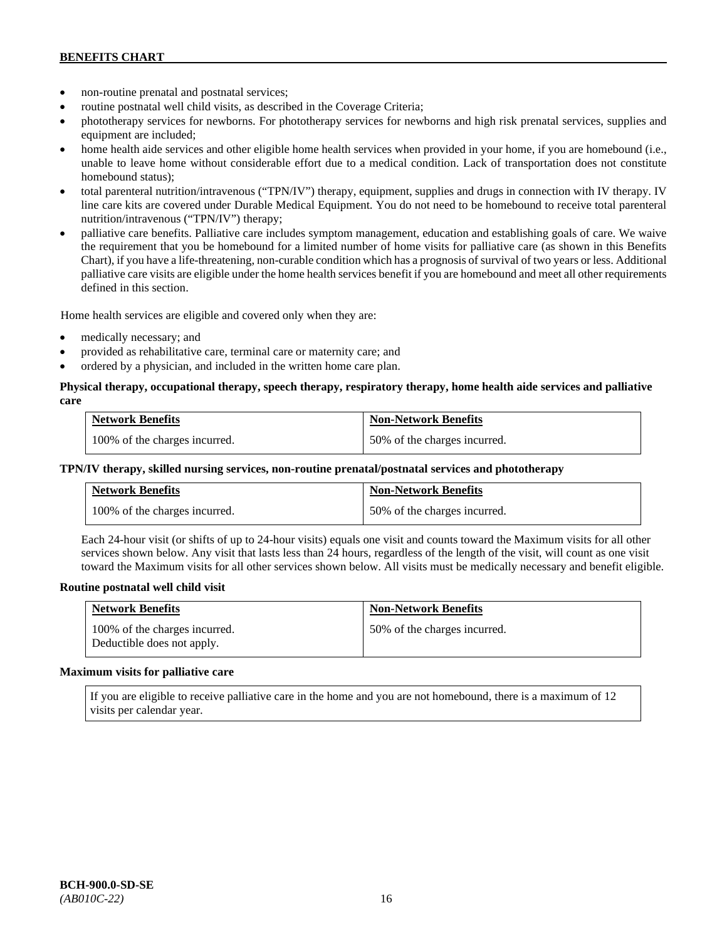- non-routine prenatal and postnatal services;
- routine postnatal well child visits, as described in the Coverage Criteria;
- phototherapy services for newborns. For phototherapy services for newborns and high risk prenatal services, supplies and equipment are included;
- home health aide services and other eligible home health services when provided in your home, if you are homebound (i.e., unable to leave home without considerable effort due to a medical condition. Lack of transportation does not constitute homebound status);
- total parenteral nutrition/intravenous ("TPN/IV") therapy, equipment, supplies and drugs in connection with IV therapy. IV line care kits are covered under Durable Medical Equipment. You do not need to be homebound to receive total parenteral nutrition/intravenous ("TPN/IV") therapy;
- palliative care benefits. Palliative care includes symptom management, education and establishing goals of care. We waive the requirement that you be homebound for a limited number of home visits for palliative care (as shown in this Benefits Chart), if you have a life-threatening, non-curable condition which has a prognosis of survival of two years or less. Additional palliative care visits are eligible under the home health services benefit if you are homebound and meet all other requirements defined in this section.

Home health services are eligible and covered only when they are:

- medically necessary; and
- provided as rehabilitative care, terminal care or maternity care; and
- ordered by a physician, and included in the written home care plan.

# **Physical therapy, occupational therapy, speech therapy, respiratory therapy, home health aide services and palliative care**

| <b>Network Benefits</b>       | <b>Non-Network Benefits</b>  |
|-------------------------------|------------------------------|
| 100% of the charges incurred. | 50% of the charges incurred. |

# **TPN/IV therapy, skilled nursing services, non-routine prenatal/postnatal services and phototherapy**

| <b>Network Benefits</b>       | <b>Non-Network Benefits</b>  |
|-------------------------------|------------------------------|
| 100% of the charges incurred. | 50% of the charges incurred. |

Each 24-hour visit (or shifts of up to 24-hour visits) equals one visit and counts toward the Maximum visits for all other services shown below. Any visit that lasts less than 24 hours, regardless of the length of the visit, will count as one visit toward the Maximum visits for all other services shown below. All visits must be medically necessary and benefit eligible.

# **Routine postnatal well child visit**

| <b>Network Benefits</b>                                     | <b>Non-Network Benefits</b>  |
|-------------------------------------------------------------|------------------------------|
| 100% of the charges incurred.<br>Deductible does not apply. | 50% of the charges incurred. |

#### **Maximum visits for palliative care**

If you are eligible to receive palliative care in the home and you are not homebound, there is a maximum of 12 visits per calendar year.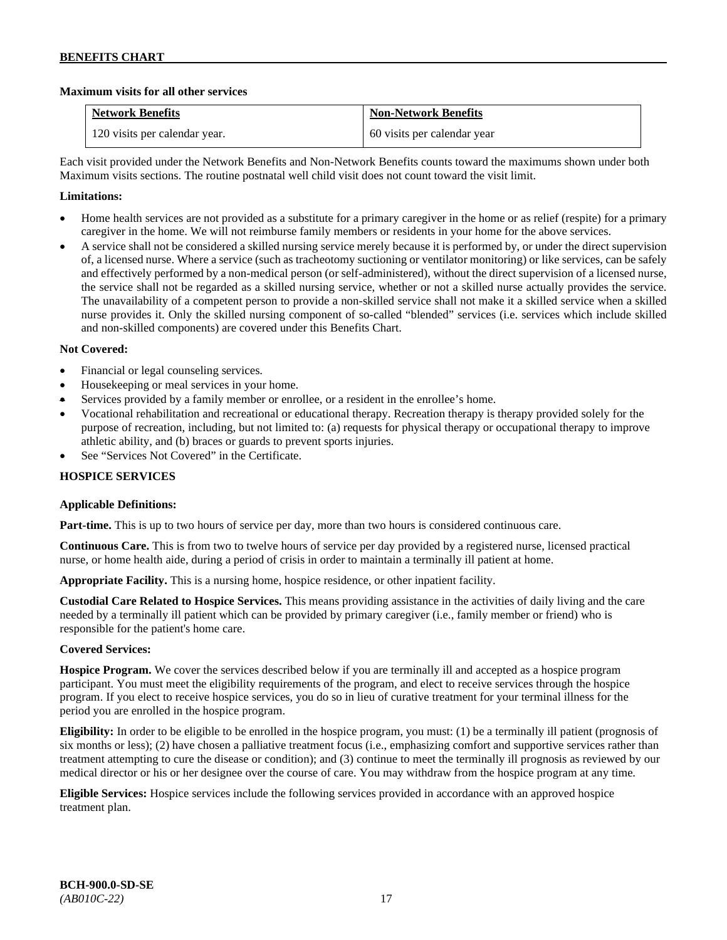# **Maximum visits for all other services**

| <b>Network Benefits</b>       | <b>Non-Network Benefits</b> |
|-------------------------------|-----------------------------|
| 120 visits per calendar year. | 60 visits per calendar year |

Each visit provided under the Network Benefits and Non-Network Benefits counts toward the maximums shown under both Maximum visits sections. The routine postnatal well child visit does not count toward the visit limit.

# **Limitations:**

- Home health services are not provided as a substitute for a primary caregiver in the home or as relief (respite) for a primary caregiver in the home. We will not reimburse family members or residents in your home for the above services.
- A service shall not be considered a skilled nursing service merely because it is performed by, or under the direct supervision of, a licensed nurse. Where a service (such as tracheotomy suctioning or ventilator monitoring) or like services, can be safely and effectively performed by a non-medical person (or self-administered), without the direct supervision of a licensed nurse, the service shall not be regarded as a skilled nursing service, whether or not a skilled nurse actually provides the service. The unavailability of a competent person to provide a non-skilled service shall not make it a skilled service when a skilled nurse provides it. Only the skilled nursing component of so-called "blended" services (i.e. services which include skilled and non-skilled components) are covered under this Benefits Chart.

# **Not Covered:**

- Financial or legal counseling services.
- Housekeeping or meal services in your home.
- Services provided by a family member or enrollee, or a resident in the enrollee's home.
- Vocational rehabilitation and recreational or educational therapy. Recreation therapy is therapy provided solely for the purpose of recreation, including, but not limited to: (a) requests for physical therapy or occupational therapy to improve athletic ability, and (b) braces or guards to prevent sports injuries.
- See "Services Not Covered" in the Certificate.

# **HOSPICE SERVICES**

# **Applicable Definitions:**

**Part-time.** This is up to two hours of service per day, more than two hours is considered continuous care.

**Continuous Care.** This is from two to twelve hours of service per day provided by a registered nurse, licensed practical nurse, or home health aide, during a period of crisis in order to maintain a terminally ill patient at home.

**Appropriate Facility.** This is a nursing home, hospice residence, or other inpatient facility.

**Custodial Care Related to Hospice Services.** This means providing assistance in the activities of daily living and the care needed by a terminally ill patient which can be provided by primary caregiver (i.e., family member or friend) who is responsible for the patient's home care.

# **Covered Services:**

**Hospice Program.** We cover the services described below if you are terminally ill and accepted as a hospice program participant. You must meet the eligibility requirements of the program, and elect to receive services through the hospice program. If you elect to receive hospice services, you do so in lieu of curative treatment for your terminal illness for the period you are enrolled in the hospice program.

**Eligibility:** In order to be eligible to be enrolled in the hospice program, you must: (1) be a terminally ill patient (prognosis of six months or less); (2) have chosen a palliative treatment focus (i.e., emphasizing comfort and supportive services rather than treatment attempting to cure the disease or condition); and (3) continue to meet the terminally ill prognosis as reviewed by our medical director or his or her designee over the course of care. You may withdraw from the hospice program at any time.

**Eligible Services:** Hospice services include the following services provided in accordance with an approved hospice treatment plan.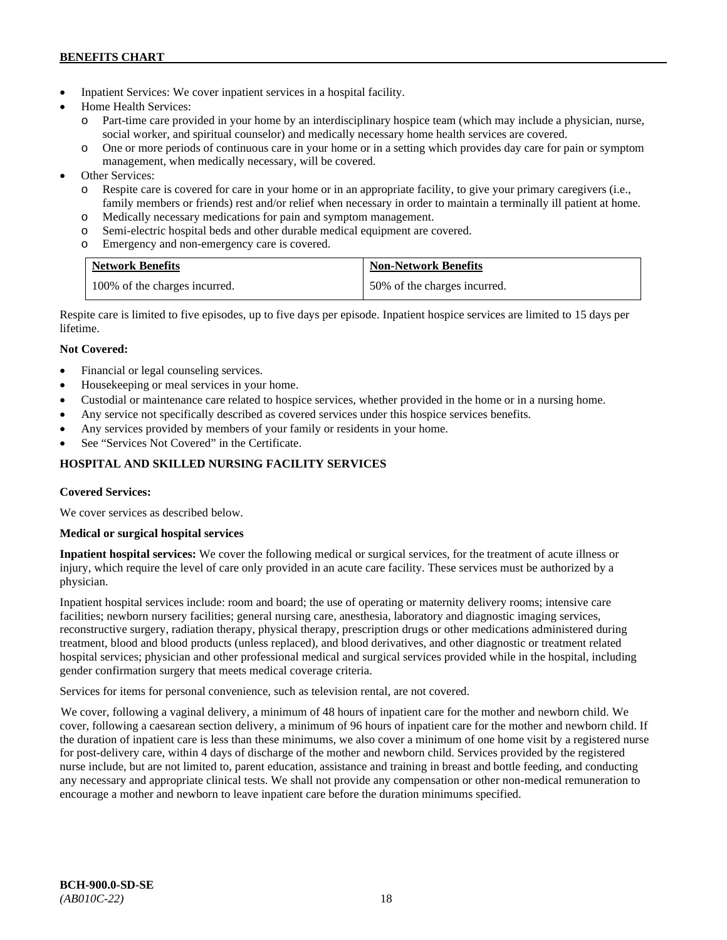- Inpatient Services: We cover inpatient services in a hospital facility.
- Home Health Services:
	- o Part-time care provided in your home by an interdisciplinary hospice team (which may include a physician, nurse, social worker, and spiritual counselor) and medically necessary home health services are covered.
	- o One or more periods of continuous care in your home or in a setting which provides day care for pain or symptom management, when medically necessary, will be covered.
- Other Services:
	- o Respite care is covered for care in your home or in an appropriate facility, to give your primary caregivers (i.e., family members or friends) rest and/or relief when necessary in order to maintain a terminally ill patient at home*.*
	- o Medically necessary medications for pain and symptom management.
	- o Semi-electric hospital beds and other durable medical equipment are covered.
	- o Emergency and non-emergency care is covered.

| <b>Network Benefits</b>       | <b>Non-Network Benefits</b>  |
|-------------------------------|------------------------------|
| 100% of the charges incurred. | 50% of the charges incurred. |

Respite care is limited to five episodes, up to five days per episode. Inpatient hospice services are limited to 15 days per lifetime.

# **Not Covered:**

- Financial or legal counseling services.
- Housekeeping or meal services in your home.
- Custodial or maintenance care related to hospice services, whether provided in the home or in a nursing home.
- Any service not specifically described as covered services under this hospice services benefits.
- Any services provided by members of your family or residents in your home.
- See "Services Not Covered" in the Certificate.

# **HOSPITAL AND SKILLED NURSING FACILITY SERVICES**

# **Covered Services:**

We cover services as described below.

# **Medical or surgical hospital services**

**Inpatient hospital services:** We cover the following medical or surgical services, for the treatment of acute illness or injury, which require the level of care only provided in an acute care facility. These services must be authorized by a physician.

Inpatient hospital services include: room and board; the use of operating or maternity delivery rooms; intensive care facilities; newborn nursery facilities; general nursing care, anesthesia, laboratory and diagnostic imaging services, reconstructive surgery, radiation therapy, physical therapy, prescription drugs or other medications administered during treatment, blood and blood products (unless replaced), and blood derivatives, and other diagnostic or treatment related hospital services; physician and other professional medical and surgical services provided while in the hospital, including gender confirmation surgery that meets medical coverage criteria.

Services for items for personal convenience, such as television rental, are not covered.

We cover, following a vaginal delivery, a minimum of 48 hours of inpatient care for the mother and newborn child. We cover, following a caesarean section delivery, a minimum of 96 hours of inpatient care for the mother and newborn child. If the duration of inpatient care is less than these minimums, we also cover a minimum of one home visit by a registered nurse for post-delivery care, within 4 days of discharge of the mother and newborn child. Services provided by the registered nurse include, but are not limited to, parent education, assistance and training in breast and bottle feeding, and conducting any necessary and appropriate clinical tests. We shall not provide any compensation or other non-medical remuneration to encourage a mother and newborn to leave inpatient care before the duration minimums specified.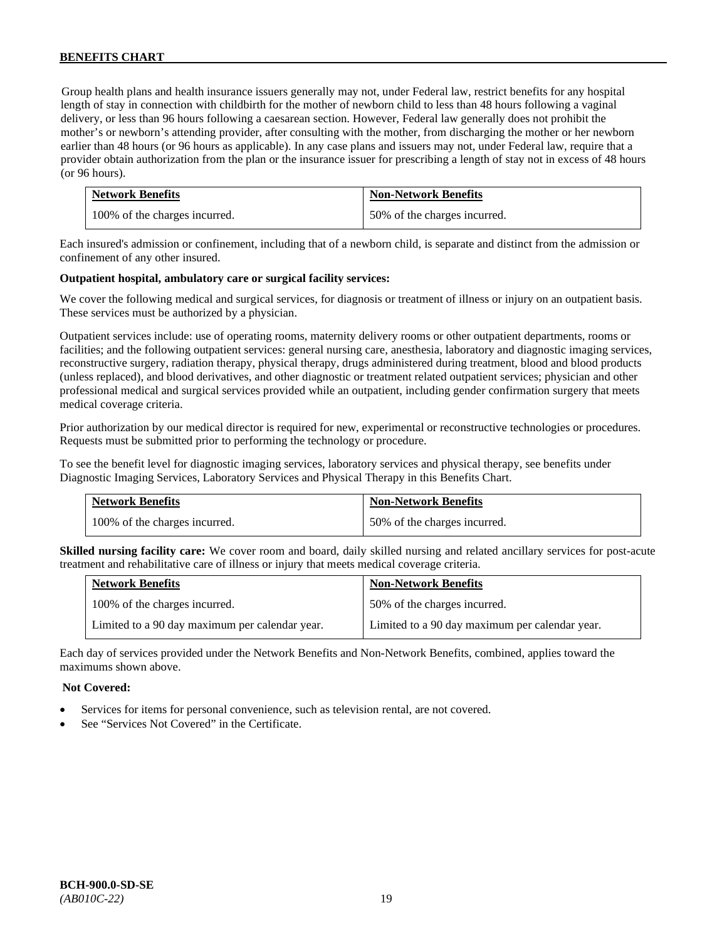Group health plans and health insurance issuers generally may not, under Federal law, restrict benefits for any hospital length of stay in connection with childbirth for the mother of newborn child to less than 48 hours following a vaginal delivery, or less than 96 hours following a caesarean section. However, Federal law generally does not prohibit the mother's or newborn's attending provider, after consulting with the mother, from discharging the mother or her newborn earlier than 48 hours (or 96 hours as applicable). In any case plans and issuers may not, under Federal law, require that a provider obtain authorization from the plan or the insurance issuer for prescribing a length of stay not in excess of 48 hours (or 96 hours).

| <b>Network Benefits</b>       | <b>Non-Network Benefits</b>  |
|-------------------------------|------------------------------|
| 100% of the charges incurred. | 50% of the charges incurred. |

Each insured's admission or confinement, including that of a newborn child, is separate and distinct from the admission or confinement of any other insured.

### **Outpatient hospital, ambulatory care or surgical facility services:**

We cover the following medical and surgical services, for diagnosis or treatment of illness or injury on an outpatient basis. These services must be authorized by a physician.

Outpatient services include: use of operating rooms, maternity delivery rooms or other outpatient departments, rooms or facilities; and the following outpatient services: general nursing care, anesthesia, laboratory and diagnostic imaging services, reconstructive surgery, radiation therapy, physical therapy, drugs administered during treatment, blood and blood products (unless replaced), and blood derivatives, and other diagnostic or treatment related outpatient services; physician and other professional medical and surgical services provided while an outpatient, including gender confirmation surgery that meets medical coverage criteria.

Prior authorization by our medical director is required for new, experimental or reconstructive technologies or procedures. Requests must be submitted prior to performing the technology or procedure.

To see the benefit level for diagnostic imaging services, laboratory services and physical therapy, see benefits under Diagnostic Imaging Services, Laboratory Services and Physical Therapy in this Benefits Chart.

| <b>Network Benefits</b>       | <b>Non-Network Benefits</b>  |
|-------------------------------|------------------------------|
| 100% of the charges incurred. | 50% of the charges incurred. |

**Skilled nursing facility care:** We cover room and board, daily skilled nursing and related ancillary services for post-acute treatment and rehabilitative care of illness or injury that meets medical coverage criteria.

| <b>Network Benefits</b>                        | <b>Non-Network Benefits</b>                    |
|------------------------------------------------|------------------------------------------------|
| 100% of the charges incurred.                  | 50% of the charges incurred.                   |
| Limited to a 90 day maximum per calendar year. | Limited to a 90 day maximum per calendar year. |

Each day of services provided under the Network Benefits and Non-Network Benefits, combined, applies toward the maximums shown above.

# **Not Covered:**

- Services for items for personal convenience, such as television rental, are not covered.
- See "Services Not Covered" in the Certificate.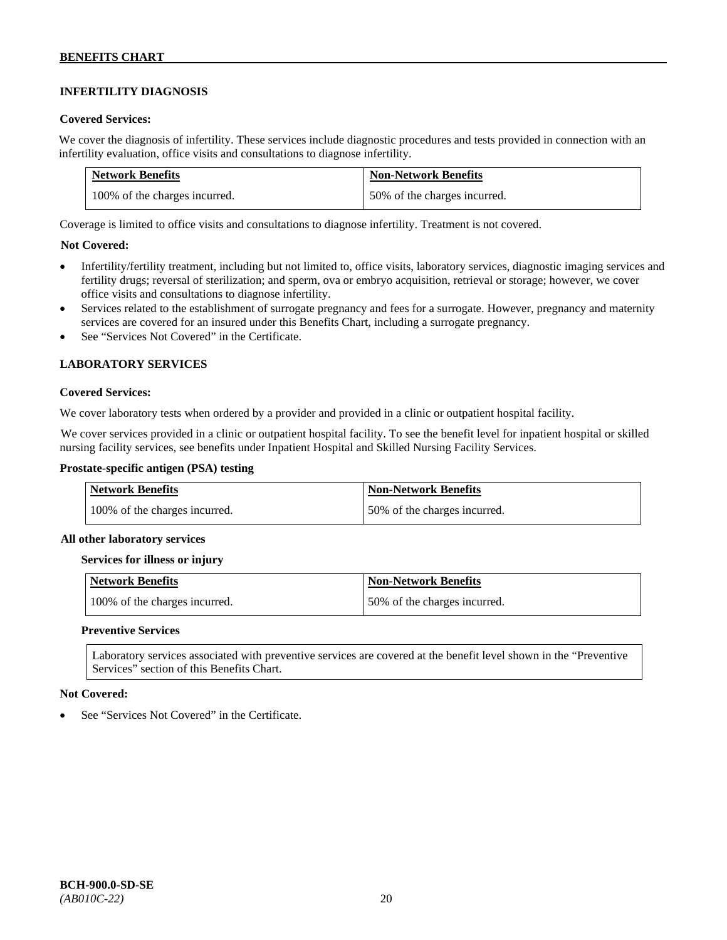# **INFERTILITY DIAGNOSIS**

# **Covered Services:**

We cover the diagnosis of infertility. These services include diagnostic procedures and tests provided in connection with an infertility evaluation, office visits and consultations to diagnose infertility.

| <b>Network Benefits</b>       | <b>Non-Network Benefits</b>  |
|-------------------------------|------------------------------|
| 100% of the charges incurred. | 50% of the charges incurred. |

Coverage is limited to office visits and consultations to diagnose infertility. Treatment is not covered.

# **Not Covered:**

- Infertility/fertility treatment, including but not limited to, office visits, laboratory services, diagnostic imaging services and fertility drugs; reversal of sterilization; and sperm, ova or embryo acquisition, retrieval or storage; however, we cover office visits and consultations to diagnose infertility.
- Services related to the establishment of surrogate pregnancy and fees for a surrogate. However, pregnancy and maternity services are covered for an insured under this Benefits Chart, including a surrogate pregnancy.
- See "Services Not Covered" in the Certificate.

# **LABORATORY SERVICES**

#### **Covered Services:**

We cover laboratory tests when ordered by a provider and provided in a clinic or outpatient hospital facility.

We cover services provided in a clinic or outpatient hospital facility. To see the benefit level for inpatient hospital or skilled nursing facility services, see benefits under Inpatient Hospital and Skilled Nursing Facility Services.

# **Prostate-specific antigen (PSA) testing**

| <b>Network Benefits</b>       | <b>Non-Network Benefits</b>  |
|-------------------------------|------------------------------|
| 100% of the charges incurred. | 50% of the charges incurred. |

#### **All other laboratory services**

#### **Services for illness or injury**

| Network Benefits              | <b>Non-Network Benefits</b>  |
|-------------------------------|------------------------------|
| 100% of the charges incurred. | 50% of the charges incurred. |

# **Preventive Services**

Laboratory services associated with preventive services are covered at the benefit level shown in the "Preventive Services" section of this Benefits Chart.

#### **Not Covered:**

See "Services Not Covered" in the Certificate.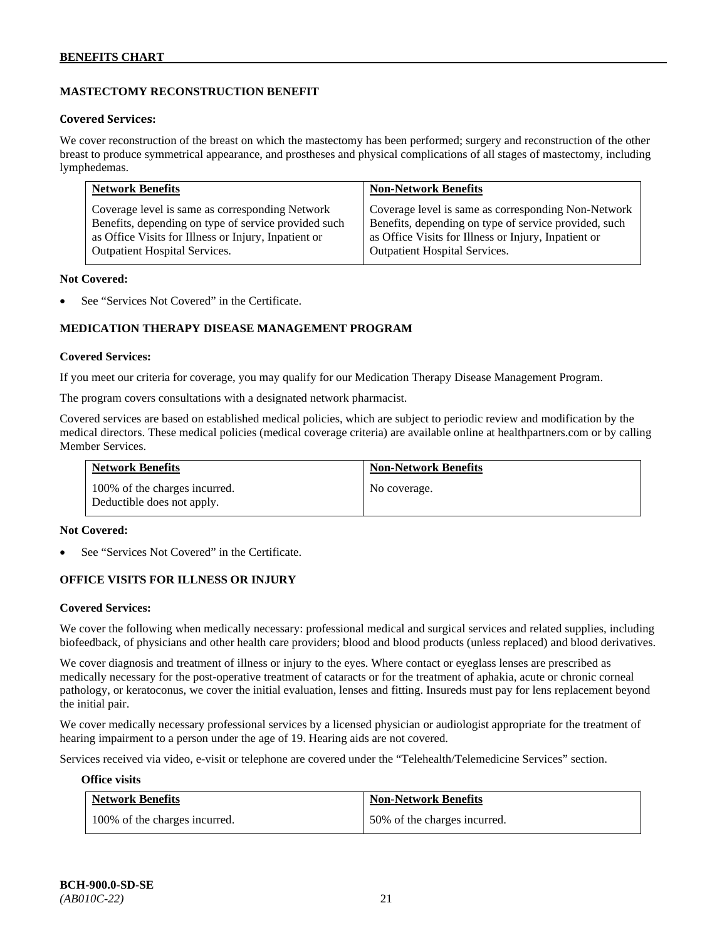# **MASTECTOMY RECONSTRUCTION BENEFIT**

### **Covered Services:**

We cover reconstruction of the breast on which the mastectomy has been performed; surgery and reconstruction of the other breast to produce symmetrical appearance, and prostheses and physical complications of all stages of mastectomy, including lymphedemas.

| <b>Network Benefits</b>                              | <b>Non-Network Benefits</b>                           |
|------------------------------------------------------|-------------------------------------------------------|
| Coverage level is same as corresponding Network      | Coverage level is same as corresponding Non-Network   |
| Benefits, depending on type of service provided such | Benefits, depending on type of service provided, such |
| as Office Visits for Illness or Injury, Inpatient or | as Office Visits for Illness or Injury, Inpatient or  |
| Outpatient Hospital Services.                        | Outpatient Hospital Services.                         |

#### **Not Covered:**

See "Services Not Covered" in the Certificate.

# **MEDICATION THERAPY DISEASE MANAGEMENT PROGRAM**

### **Covered Services:**

If you meet our criteria for coverage, you may qualify for our Medication Therapy Disease Management Program.

The program covers consultations with a designated network pharmacist.

Covered services are based on established medical policies, which are subject to periodic review and modification by the medical directors. These medical policies (medical coverage criteria) are available online at [healthpartners.com](http://www.healthpartners.com/) or by calling Member Services.

| <b>Network Benefits</b>                                     | <b>Non-Network Benefits</b> |
|-------------------------------------------------------------|-----------------------------|
| 100% of the charges incurred.<br>Deductible does not apply. | No coverage.                |

#### **Not Covered:**

See "Services Not Covered" in the Certificate.

# **OFFICE VISITS FOR ILLNESS OR INJURY**

#### **Covered Services:**

We cover the following when medically necessary: professional medical and surgical services and related supplies, including biofeedback, of physicians and other health care providers; blood and blood products (unless replaced) and blood derivatives.

We cover diagnosis and treatment of illness or injury to the eyes. Where contact or eyeglass lenses are prescribed as medically necessary for the post-operative treatment of cataracts or for the treatment of aphakia, acute or chronic corneal pathology, or keratoconus, we cover the initial evaluation, lenses and fitting. Insureds must pay for lens replacement beyond the initial pair.

We cover medically necessary professional services by a licensed physician or audiologist appropriate for the treatment of hearing impairment to a person under the age of 19. Hearing aids are not covered.

Services received via video, e-visit or telephone are covered under the "Telehealth/Telemedicine Services" section.

#### **Office visits**

| <b>Network Benefits</b>       | <b>Non-Network Benefits</b>  |
|-------------------------------|------------------------------|
| 100% of the charges incurred. | 50% of the charges incurred. |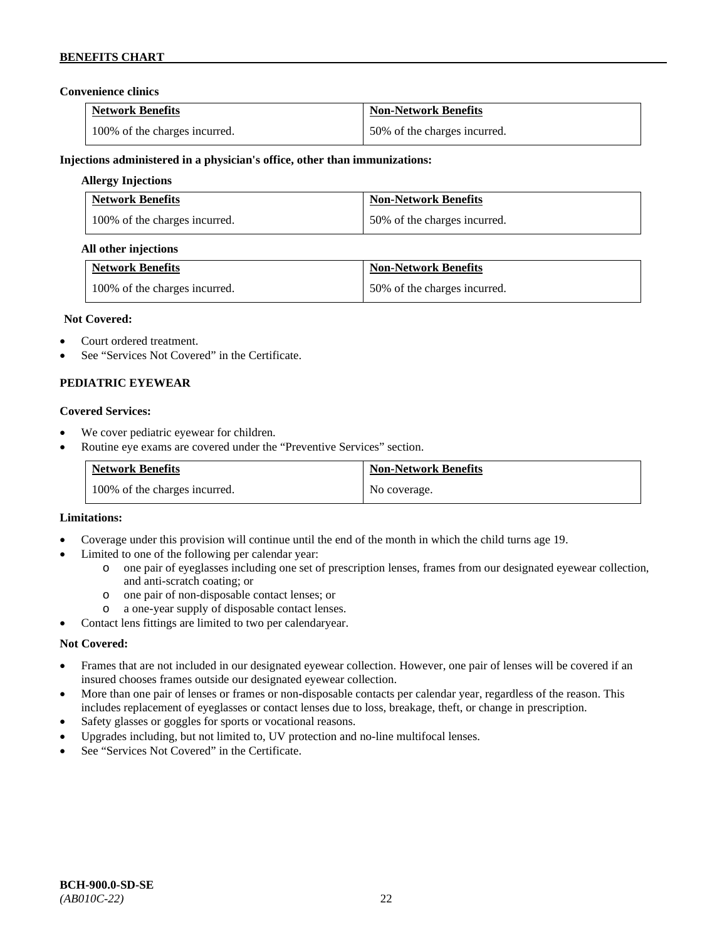# **Convenience clinics**

| <b>Network Benefits</b>       | <b>Non-Network Benefits</b>  |
|-------------------------------|------------------------------|
| 100% of the charges incurred. | 50% of the charges incurred. |

### **Injections administered in a physician's office, other than immunizations:**

# **Allergy Injections**

| <b>Network Benefits</b>       | <b>Non-Network Benefits</b>  |
|-------------------------------|------------------------------|
| 100% of the charges incurred. | 50% of the charges incurred. |

### **All other injections**

| <b>Network Benefits</b>       | <b>Non-Network Benefits</b>  |
|-------------------------------|------------------------------|
| 100% of the charges incurred. | 50% of the charges incurred. |

### **Not Covered:**

- Court ordered treatment.
- See "Services Not Covered" in the Certificate.

# **PEDIATRIC EYEWEAR**

### **Covered Services:**

- We cover pediatric eyewear for children.
- Routine eye exams are covered under the "Preventive Services" section.

| <b>Network Benefits</b>       | <b>Non-Network Benefits</b> |
|-------------------------------|-----------------------------|
| 100% of the charges incurred. | No coverage.                |

#### **Limitations:**

- Coverage under this provision will continue until the end of the month in which the child turns age 19.
- Limited to one of the following per calendar year:
	- o one pair of eyeglasses including one set of prescription lenses, frames from our designated eyewear collection, and anti-scratch coating; or
	- o one pair of non-disposable contact lenses; or
	- a one-year supply of disposable contact lenses.
- Contact lens fittings are limited to two per calendaryear.

# **Not Covered:**

- Frames that are not included in our designated eyewear collection. However, one pair of lenses will be covered if an insured chooses frames outside our designated eyewear collection.
- More than one pair of lenses or frames or non-disposable contacts per calendar year, regardless of the reason. This includes replacement of eyeglasses or contact lenses due to loss, breakage, theft, or change in prescription.
- Safety glasses or goggles for sports or vocational reasons.
- Upgrades including, but not limited to, UV protection and no-line multifocal lenses.
- See "Services Not Covered" in the Certificate.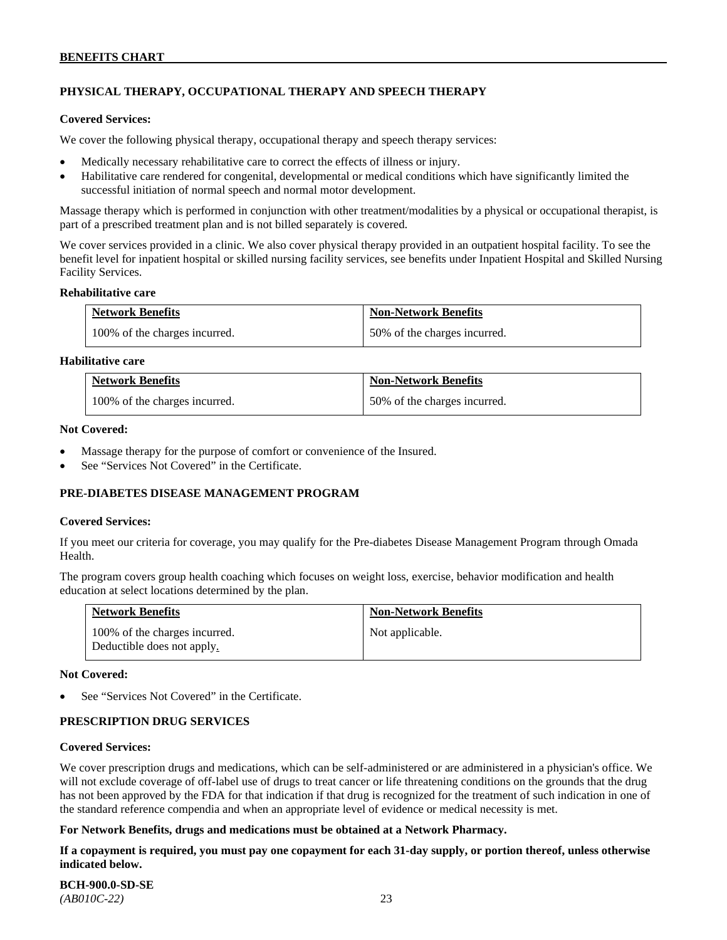# **PHYSICAL THERAPY, OCCUPATIONAL THERAPY AND SPEECH THERAPY**

#### **Covered Services:**

We cover the following physical therapy, occupational therapy and speech therapy services:

- Medically necessary rehabilitative care to correct the effects of illness or injury.
- Habilitative care rendered for congenital, developmental or medical conditions which have significantly limited the successful initiation of normal speech and normal motor development.

Massage therapy which is performed in conjunction with other treatment/modalities by a physical or occupational therapist, is part of a prescribed treatment plan and is not billed separately is covered.

We cover services provided in a clinic. We also cover physical therapy provided in an outpatient hospital facility. To see the benefit level for inpatient hospital or skilled nursing facility services, see benefits under Inpatient Hospital and Skilled Nursing Facility Services.

#### **Rehabilitative care**

| <b>Network Benefits</b>       | <b>Non-Network Benefits</b>  |
|-------------------------------|------------------------------|
| 100% of the charges incurred. | 50% of the charges incurred. |

# **Habilitative care**

| <b>Network Benefits</b>       | <b>Non-Network Benefits</b>  |
|-------------------------------|------------------------------|
| 100% of the charges incurred. | 50% of the charges incurred. |

#### **Not Covered:**

- Massage therapy for the purpose of comfort or convenience of the Insured.
- See "Services Not Covered" in the Certificate.

# **PRE-DIABETES DISEASE MANAGEMENT PROGRAM**

#### **Covered Services:**

If you meet our criteria for coverage, you may qualify for the Pre-diabetes Disease Management Program through Omada Health.

The program covers group health coaching which focuses on weight loss, exercise, behavior modification and health education at select locations determined by the plan.

| <b>Network Benefits</b>                                     | <b>Non-Network Benefits</b> |
|-------------------------------------------------------------|-----------------------------|
| 100% of the charges incurred.<br>Deductible does not apply. | Not applicable.             |

#### **Not Covered:**

See "Services Not Covered" in the Certificate.

# **PRESCRIPTION DRUG SERVICES**

#### **Covered Services:**

We cover prescription drugs and medications, which can be self-administered or are administered in a physician's office. We will not exclude coverage of off-label use of drugs to treat cancer or life threatening conditions on the grounds that the drug has not been approved by the FDA for that indication if that drug is recognized for the treatment of such indication in one of the standard reference compendia and when an appropriate level of evidence or medical necessity is met.

#### **For Network Benefits, drugs and medications must be obtained at a Network Pharmacy.**

**If a copayment is required, you must pay one copayment for each 31-day supply, or portion thereof, unless otherwise indicated below.**

**BCH-900.0-SD-SE**  *(AB010C-22)* 23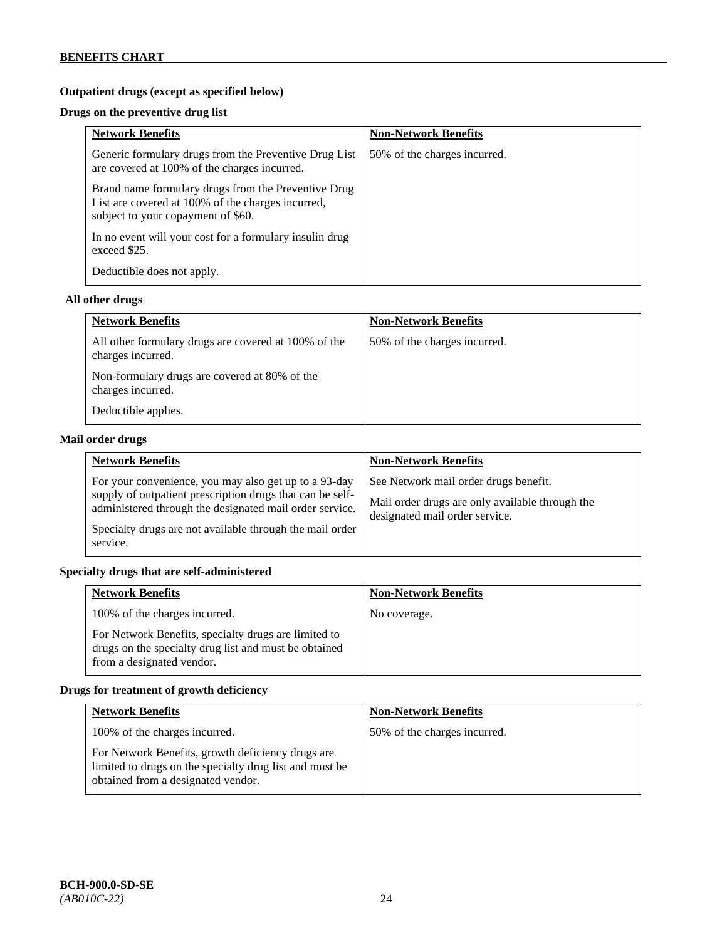# **Outpatient drugs (except as specified below)**

# **Drugs on the preventive drug list**

| <b>Network Benefits</b>                                                                                                                        | <b>Non-Network Benefits</b>  |
|------------------------------------------------------------------------------------------------------------------------------------------------|------------------------------|
| Generic formulary drugs from the Preventive Drug List<br>are covered at 100% of the charges incurred.                                          | 50% of the charges incurred. |
| Brand name formulary drugs from the Preventive Drug<br>List are covered at 100% of the charges incurred,<br>subject to your copayment of \$60. |                              |
| In no event will your cost for a formulary insulin drug<br>exceed \$25.                                                                        |                              |
| Deductible does not apply.                                                                                                                     |                              |

# **All other drugs**

| <b>Network Benefits</b>                                                   | <b>Non-Network Benefits</b>  |
|---------------------------------------------------------------------------|------------------------------|
| All other formulary drugs are covered at 100% of the<br>charges incurred. | 50% of the charges incurred. |
| Non-formulary drugs are covered at 80% of the<br>charges incurred.        |                              |
| Deductible applies.                                                       |                              |

# **Mail order drugs**

| <b>Network Benefits</b>                                                                                                                                                                                                                               | <b>Non-Network Benefits</b>                                                                                                |
|-------------------------------------------------------------------------------------------------------------------------------------------------------------------------------------------------------------------------------------------------------|----------------------------------------------------------------------------------------------------------------------------|
| For your convenience, you may also get up to a 93-day<br>supply of outpatient prescription drugs that can be self-<br>administered through the designated mail order service.<br>Specialty drugs are not available through the mail order<br>service. | See Network mail order drugs benefit.<br>Mail order drugs are only available through the<br>designated mail order service. |

# **Specialty drugs that are self-administered**

| <b>Network Benefits</b>                                                                                                                    | <b>Non-Network Benefits</b> |
|--------------------------------------------------------------------------------------------------------------------------------------------|-----------------------------|
| 100% of the charges incurred.                                                                                                              | No coverage.                |
| For Network Benefits, specialty drugs are limited to<br>drugs on the specialty drug list and must be obtained<br>from a designated vendor. |                             |

# **Drugs for treatment of growth deficiency**

| <b>Network Benefits</b>                                                                                                                            | <b>Non-Network Benefits</b>  |
|----------------------------------------------------------------------------------------------------------------------------------------------------|------------------------------|
| 100% of the charges incurred.                                                                                                                      | 50% of the charges incurred. |
| For Network Benefits, growth deficiency drugs are<br>limited to drugs on the specialty drug list and must be<br>obtained from a designated vendor. |                              |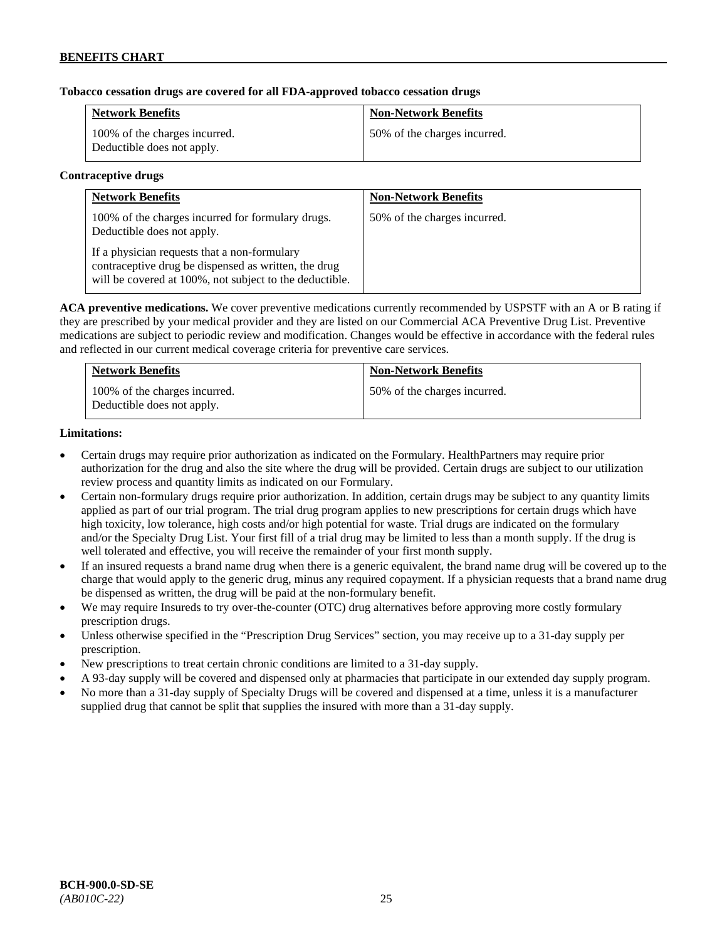# **Tobacco cessation drugs are covered for all FDA-approved tobacco cessation drugs**

| <b>Network Benefits</b>                                     | <b>Non-Network Benefits</b>  |
|-------------------------------------------------------------|------------------------------|
| 100% of the charges incurred.<br>Deductible does not apply. | 50% of the charges incurred. |

# **Contraceptive drugs**

| <b>Network Benefits</b>                                                                                                                                         | <b>Non-Network Benefits</b>  |
|-----------------------------------------------------------------------------------------------------------------------------------------------------------------|------------------------------|
| 100% of the charges incurred for formulary drugs.<br>Deductible does not apply.                                                                                 | 50% of the charges incurred. |
| If a physician requests that a non-formulary<br>contraceptive drug be dispensed as written, the drug<br>will be covered at 100%, not subject to the deductible. |                              |

**ACA preventive medications.** We cover preventive medications currently recommended by USPSTF with an A or B rating if they are prescribed by your medical provider and they are listed on our Commercial ACA Preventive Drug List. Preventive medications are subject to periodic review and modification. Changes would be effective in accordance with the federal rules and reflected in our current medical coverage criteria for preventive care services.

| <b>Network Benefits</b>                                     | <b>Non-Network Benefits</b>  |
|-------------------------------------------------------------|------------------------------|
| 100% of the charges incurred.<br>Deductible does not apply. | 50% of the charges incurred. |

# **Limitations:**

- Certain drugs may require prior authorization as indicated on the Formulary. HealthPartners may require prior authorization for the drug and also the site where the drug will be provided. Certain drugs are subject to our utilization review process and quantity limits as indicated on our Formulary.
- Certain non-formulary drugs require prior authorization. In addition, certain drugs may be subject to any quantity limits applied as part of our trial program. The trial drug program applies to new prescriptions for certain drugs which have high toxicity, low tolerance, high costs and/or high potential for waste. Trial drugs are indicated on the formulary and/or the Specialty Drug List. Your first fill of a trial drug may be limited to less than a month supply. If the drug is well tolerated and effective, you will receive the remainder of your first month supply.
- If an insured requests a brand name drug when there is a generic equivalent, the brand name drug will be covered up to the charge that would apply to the generic drug, minus any required copayment. If a physician requests that a brand name drug be dispensed as written, the drug will be paid at the non-formulary benefit.
- We may require Insureds to try over-the-counter (OTC) drug alternatives before approving more costly formulary prescription drugs.
- Unless otherwise specified in the "Prescription Drug Services" section, you may receive up to a 31-day supply per prescription.
- New prescriptions to treat certain chronic conditions are limited to a 31-day supply.
- A 93-day supply will be covered and dispensed only at pharmacies that participate in our extended day supply program.
- No more than a 31-day supply of Specialty Drugs will be covered and dispensed at a time, unless it is a manufacturer supplied drug that cannot be split that supplies the insured with more than a 31-day supply.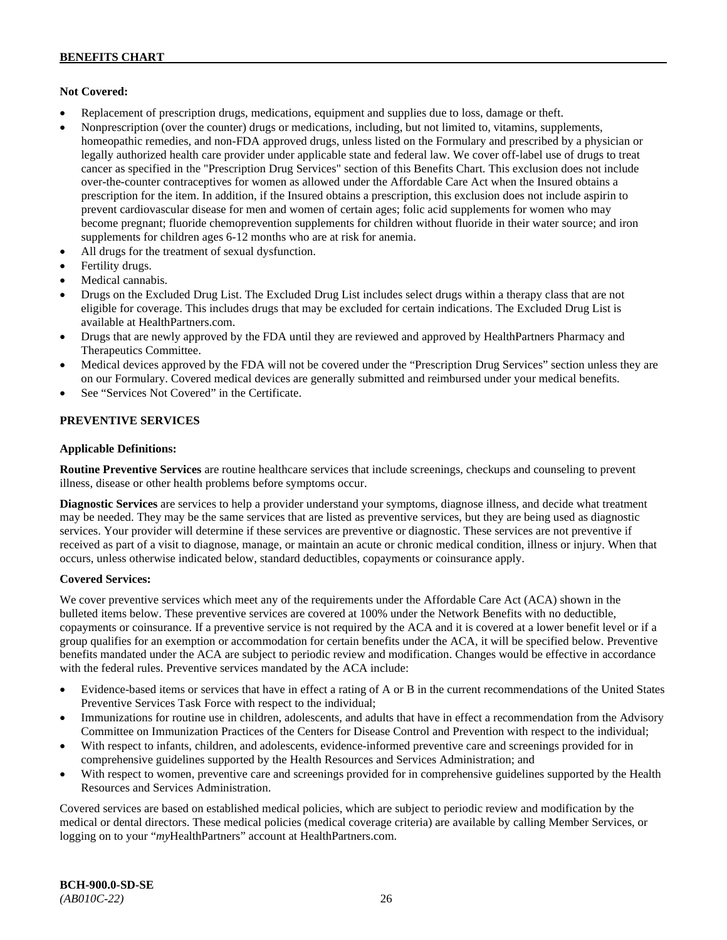# **Not Covered:**

- Replacement of prescription drugs, medications, equipment and supplies due to loss, damage or theft.
- Nonprescription (over the counter) drugs or medications, including, but not limited to, vitamins, supplements, homeopathic remedies, and non-FDA approved drugs, unless listed on the Formulary and prescribed by a physician or legally authorized health care provider under applicable state and federal law. We cover off-label use of drugs to treat cancer as specified in the "Prescription Drug Services" section of this Benefits Chart. This exclusion does not include over-the-counter contraceptives for women as allowed under the Affordable Care Act when the Insured obtains a prescription for the item. In addition, if the Insured obtains a prescription, this exclusion does not include aspirin to prevent cardiovascular disease for men and women of certain ages; folic acid supplements for women who may become pregnant; fluoride chemoprevention supplements for children without fluoride in their water source; and iron supplements for children ages 6-12 months who are at risk for anemia.
- All drugs for the treatment of sexual dysfunction.
- Fertility drugs.
- Medical cannabis.
- Drugs on the Excluded Drug List. The Excluded Drug List includes select drugs within a therapy class that are not eligible for coverage. This includes drugs that may be excluded for certain indications. The Excluded Drug List is available a[t HealthPartners.com.](http://www.healthpartners.com/)
- Drugs that are newly approved by the FDA until they are reviewed and approved by HealthPartners Pharmacy and Therapeutics Committee.
- Medical devices approved by the FDA will not be covered under the "Prescription Drug Services" section unless they are on our Formulary. Covered medical devices are generally submitted and reimbursed under your medical benefits.
- See "Services Not Covered" in the Certificate.

# **PREVENTIVE SERVICES**

### **Applicable Definitions:**

**Routine Preventive Services** are routine healthcare services that include screenings, checkups and counseling to prevent illness, disease or other health problems before symptoms occur.

**Diagnostic Services** are services to help a provider understand your symptoms, diagnose illness, and decide what treatment may be needed. They may be the same services that are listed as preventive services, but they are being used as diagnostic services. Your provider will determine if these services are preventive or diagnostic. These services are not preventive if received as part of a visit to diagnose, manage, or maintain an acute or chronic medical condition, illness or injury. When that occurs, unless otherwise indicated below, standard deductibles, copayments or coinsurance apply.

# **Covered Services:**

We cover preventive services which meet any of the requirements under the Affordable Care Act (ACA) shown in the bulleted items below. These preventive services are covered at 100% under the Network Benefits with no deductible, copayments or coinsurance. If a preventive service is not required by the ACA and it is covered at a lower benefit level or if a group qualifies for an exemption or accommodation for certain benefits under the ACA, it will be specified below. Preventive benefits mandated under the ACA are subject to periodic review and modification. Changes would be effective in accordance with the federal rules. Preventive services mandated by the ACA include:

- Evidence-based items or services that have in effect a rating of A or B in the current recommendations of the United States Preventive Services Task Force with respect to the individual;
- Immunizations for routine use in children, adolescents, and adults that have in effect a recommendation from the Advisory Committee on Immunization Practices of the Centers for Disease Control and Prevention with respect to the individual;
- With respect to infants, children, and adolescents, evidence-informed preventive care and screenings provided for in comprehensive guidelines supported by the Health Resources and Services Administration; and
- With respect to women, preventive care and screenings provided for in comprehensive guidelines supported by the Health Resources and Services Administration.

Covered services are based on established medical policies, which are subject to periodic review and modification by the medical or dental directors. These medical policies (medical coverage criteria) are available by calling Member Services, or logging on to your "*my*HealthPartners" account at [HealthPartners.com.](http://www.healthpartners.com/)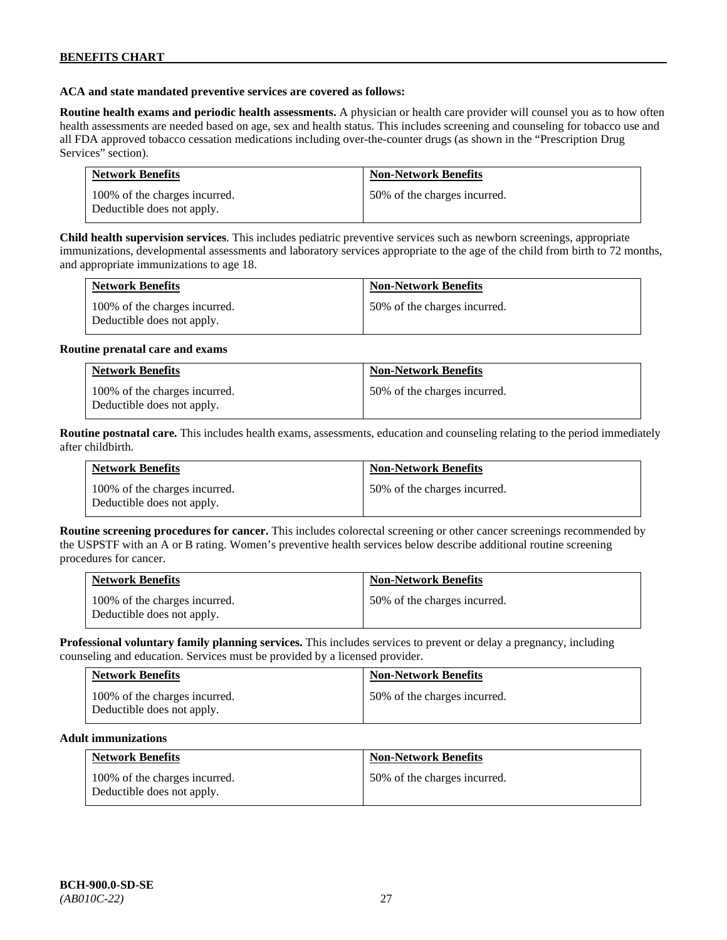## **ACA and state mandated preventive services are covered as follows:**

**Routine health exams and periodic health assessments.** A physician or health care provider will counsel you as to how often health assessments are needed based on age, sex and health status. This includes screening and counseling for tobacco use and all FDA approved tobacco cessation medications including over-the-counter drugs (as shown in the "Prescription Drug Services" section).

| <b>Network Benefits</b>                                     | <b>Non-Network Benefits</b>  |
|-------------------------------------------------------------|------------------------------|
| 100% of the charges incurred.<br>Deductible does not apply. | 50% of the charges incurred. |

**Child health supervision services**. This includes pediatric preventive services such as newborn screenings, appropriate immunizations, developmental assessments and laboratory services appropriate to the age of the child from birth to 72 months, and appropriate immunizations to age 18.

| <b>Network Benefits</b>                                     | <b>Non-Network Benefits</b>  |
|-------------------------------------------------------------|------------------------------|
| 100% of the charges incurred.<br>Deductible does not apply. | 50% of the charges incurred. |

#### **Routine prenatal care and exams**

| <b>Network Benefits</b>                                     | <b>Non-Network Benefits</b>  |
|-------------------------------------------------------------|------------------------------|
| 100% of the charges incurred.<br>Deductible does not apply. | 50% of the charges incurred. |

**Routine postnatal care.** This includes health exams, assessments, education and counseling relating to the period immediately after childbirth.

| <b>Network Benefits</b>                                     | <b>Non-Network Benefits</b>  |
|-------------------------------------------------------------|------------------------------|
| 100% of the charges incurred.<br>Deductible does not apply. | 50% of the charges incurred. |

**Routine screening procedures for cancer.** This includes colorectal screening or other cancer screenings recommended by the USPSTF with an A or B rating. Women's preventive health services below describe additional routine screening procedures for cancer.

| <b>Network Benefits</b>                                     | <b>Non-Network Benefits</b>  |
|-------------------------------------------------------------|------------------------------|
| 100% of the charges incurred.<br>Deductible does not apply. | 50% of the charges incurred. |

**Professional voluntary family planning services.** This includes services to prevent or delay a pregnancy, including counseling and education. Services must be provided by a licensed provider.

| <b>Network Benefits</b>                                     | <b>Non-Network Benefits</b>  |
|-------------------------------------------------------------|------------------------------|
| 100% of the charges incurred.<br>Deductible does not apply. | 50% of the charges incurred. |

#### **Adult immunizations**

| <b>Network Benefits</b>                                     | <b>Non-Network Benefits</b>  |
|-------------------------------------------------------------|------------------------------|
| 100% of the charges incurred.<br>Deductible does not apply. | 50% of the charges incurred. |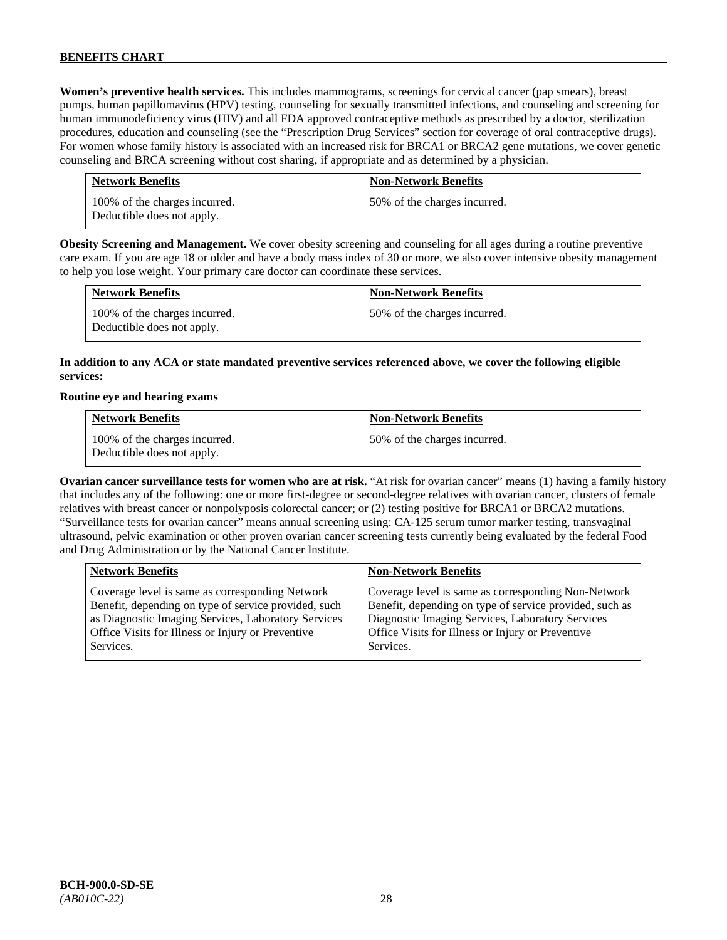**Women's preventive health services.** This includes mammograms, screenings for cervical cancer (pap smears), breast pumps, human papillomavirus (HPV) testing, counseling for sexually transmitted infections, and counseling and screening for human immunodeficiency virus (HIV) and all FDA approved contraceptive methods as prescribed by a doctor, sterilization procedures, education and counseling (see the "Prescription Drug Services" section for coverage of oral contraceptive drugs). For women whose family history is associated with an increased risk for BRCA1 or BRCA2 gene mutations, we cover genetic counseling and BRCA screening without cost sharing, if appropriate and as determined by a physician.

| <b>Network Benefits</b>                                     | <b>Non-Network Benefits</b>  |
|-------------------------------------------------------------|------------------------------|
| 100% of the charges incurred.<br>Deductible does not apply. | 50% of the charges incurred. |

**Obesity Screening and Management.** We cover obesity screening and counseling for all ages during a routine preventive care exam. If you are age 18 or older and have a body mass index of 30 or more, we also cover intensive obesity management to help you lose weight. Your primary care doctor can coordinate these services.

| <b>Network Benefits</b>                                     | <b>Non-Network Benefits</b>  |
|-------------------------------------------------------------|------------------------------|
| 100% of the charges incurred.<br>Deductible does not apply. | 50% of the charges incurred. |

# **In addition to any ACA or state mandated preventive services referenced above, we cover the following eligible services:**

#### **Routine eye and hearing exams**

| <b>Network Benefits</b>                                     | <b>Non-Network Benefits</b>  |
|-------------------------------------------------------------|------------------------------|
| 100% of the charges incurred.<br>Deductible does not apply. | 50% of the charges incurred. |

**Ovarian cancer surveillance tests for women who are at risk.** "At risk for ovarian cancer" means (1) having a family history that includes any of the following: one or more first-degree or second-degree relatives with ovarian cancer, clusters of female relatives with breast cancer or nonpolyposis colorectal cancer; or (2) testing positive for BRCA1 or BRCA2 mutations. "Surveillance tests for ovarian cancer" means annual screening using: CA-125 serum tumor marker testing, transvaginal ultrasound, pelvic examination or other proven ovarian cancer screening tests currently being evaluated by the federal Food and Drug Administration or by the National Cancer Institute.

| <b>Network Benefits</b>                              | <b>Non-Network Benefits</b>                             |
|------------------------------------------------------|---------------------------------------------------------|
| Coverage level is same as corresponding Network      | Coverage level is same as corresponding Non-Network     |
| Benefit, depending on type of service provided, such | Benefit, depending on type of service provided, such as |
| as Diagnostic Imaging Services, Laboratory Services  | Diagnostic Imaging Services, Laboratory Services        |
| Office Visits for Illness or Injury or Preventive    | Office Visits for Illness or Injury or Preventive       |
| Services.                                            | Services.                                               |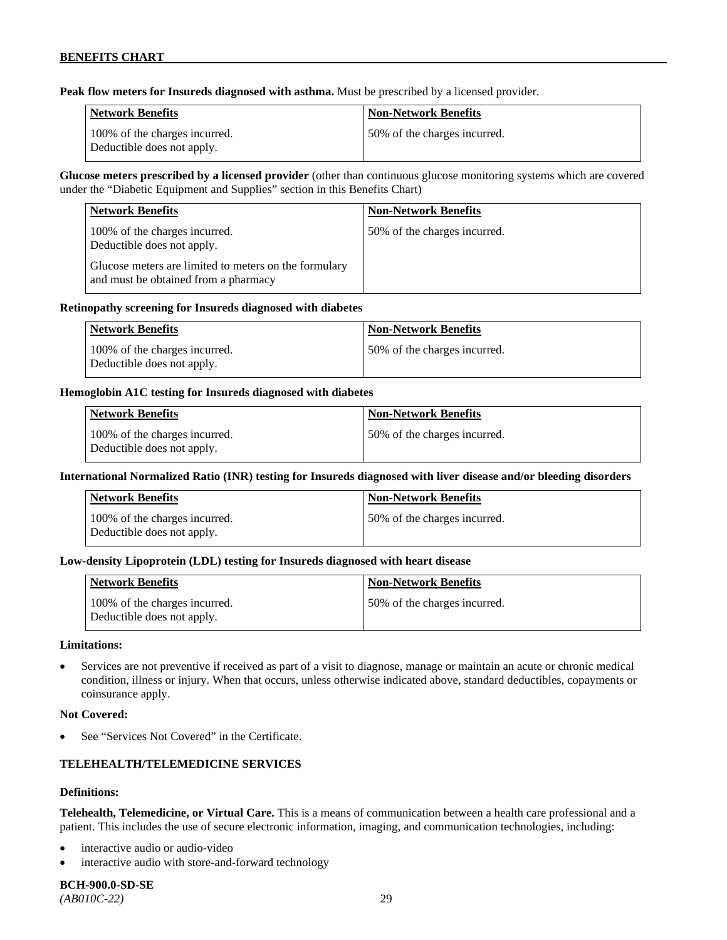**Peak flow meters for Insureds diagnosed with asthma.** Must be prescribed by a licensed provider.

| Network Benefits                                            | <b>Non-Network Benefits</b>   |
|-------------------------------------------------------------|-------------------------------|
| 100% of the charges incurred.<br>Deductible does not apply. | 150% of the charges incurred. |

**Glucose meters prescribed by a licensed provider** (other than continuous glucose monitoring systems which are covered under the "Diabetic Equipment and Supplies" section in this Benefits Chart)

| <b>Network Benefits</b>                                                                       | <b>Non-Network Benefits</b>  |
|-----------------------------------------------------------------------------------------------|------------------------------|
| 100% of the charges incurred.<br>Deductible does not apply.                                   | 50% of the charges incurred. |
| Glucose meters are limited to meters on the formulary<br>and must be obtained from a pharmacy |                              |

### **Retinopathy screening for Insureds diagnosed with diabetes**

| Network Benefits                                            | Non-Network Benefits          |
|-------------------------------------------------------------|-------------------------------|
| 100% of the charges incurred.<br>Deductible does not apply. | 150% of the charges incurred. |

## **Hemoglobin A1C testing for Insureds diagnosed with diabetes**

| Network Benefits                                            | <b>Non-Network Benefits</b>  |
|-------------------------------------------------------------|------------------------------|
| 100% of the charges incurred.<br>Deductible does not apply. | 50% of the charges incurred. |

# **International Normalized Ratio (INR) testing for Insureds diagnosed with liver disease and/or bleeding disorders**

| Network Benefits                                            | <b>Non-Network Benefits</b>  |
|-------------------------------------------------------------|------------------------------|
| 100% of the charges incurred.<br>Deductible does not apply. | 50% of the charges incurred. |

# **Low-density Lipoprotein (LDL) testing for Insureds diagnosed with heart disease**

| <b>Network Benefits</b>                                     | <b>Non-Network Benefits</b>   |
|-------------------------------------------------------------|-------------------------------|
| 100% of the charges incurred.<br>Deductible does not apply. | 150% of the charges incurred. |

#### **Limitations:**

• Services are not preventive if received as part of a visit to diagnose, manage or maintain an acute or chronic medical condition, illness or injury. When that occurs, unless otherwise indicated above, standard deductibles, copayments or coinsurance apply.

#### **Not Covered:**

See "Services Not Covered" in the Certificate.

# **TELEHEALTH/TELEMEDICINE SERVICES**

#### **Definitions:**

**Telehealth, Telemedicine, or Virtual Care.** This is a means of communication between a health care professional and a patient. This includes the use of secure electronic information, imaging, and communication technologies, including:

- interactive audio or audio-video
- interactive audio with store-and-forward technology

# **BCH-900.0-SD-SE**

*(AB010C-22)* 29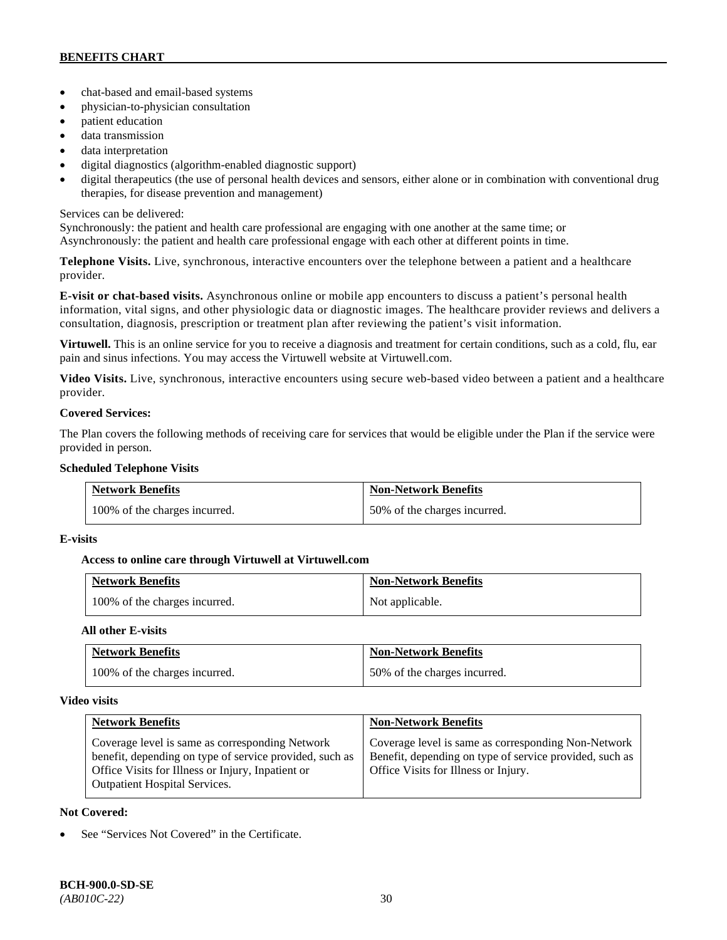- chat-based and email-based systems
- physician-to-physician consultation
- patient education
- data transmission
- data interpretation
- digital diagnostics (algorithm-enabled diagnostic support)
- digital therapeutics (the use of personal health devices and sensors, either alone or in combination with conventional drug therapies, for disease prevention and management)

# Services can be delivered:

Synchronously: the patient and health care professional are engaging with one another at the same time; or Asynchronously: the patient and health care professional engage with each other at different points in time.

**Telephone Visits.** Live, synchronous, interactive encounters over the telephone between a patient and a healthcare provider.

**E-visit or chat-based visits.** Asynchronous online or mobile app encounters to discuss a patient's personal health information, vital signs, and other physiologic data or diagnostic images. The healthcare provider reviews and delivers a consultation, diagnosis, prescription or treatment plan after reviewing the patient's visit information.

**Virtuwell.** This is an online service for you to receive a diagnosis and treatment for certain conditions, such as a cold, flu, ear pain and sinus infections. You may access the Virtuwell website at [Virtuwell.com.](https://www.virtuwell.com/)

**Video Visits.** Live, synchronous, interactive encounters using secure web-based video between a patient and a healthcare provider.

# **Covered Services:**

The Plan covers the following methods of receiving care for services that would be eligible under the Plan if the service were provided in person.

# **Scheduled Telephone Visits**

| <b>Network Benefits</b>       | <b>Non-Network Benefits</b>  |
|-------------------------------|------------------------------|
| 100% of the charges incurred. | 50% of the charges incurred. |

# **E-visits**

# **Access to online care through Virtuwell at [Virtuwell.com](http://www.virtuwell.com/)**

| <b>Network Benefits</b>       | <b>Non-Network Benefits</b> |
|-------------------------------|-----------------------------|
| 100% of the charges incurred. | Not applicable.             |

# **All other E-visits**

| <b>Network Benefits</b>       | <b>Non-Network Benefits</b>  |
|-------------------------------|------------------------------|
| 100% of the charges incurred. | 50% of the charges incurred. |

# **Video visits**

| <b>Network Benefits</b>                                                                                                                                                                                 | <b>Non-Network Benefits</b>                                                                                                                            |
|---------------------------------------------------------------------------------------------------------------------------------------------------------------------------------------------------------|--------------------------------------------------------------------------------------------------------------------------------------------------------|
| Coverage level is same as corresponding Network<br>benefit, depending on type of service provided, such as<br>Office Visits for Illness or Injury, Inpatient or<br><b>Outpatient Hospital Services.</b> | Coverage level is same as corresponding Non-Network<br>Benefit, depending on type of service provided, such as<br>Office Visits for Illness or Injury. |

# **Not Covered:**

See "Services Not Covered" in the Certificate.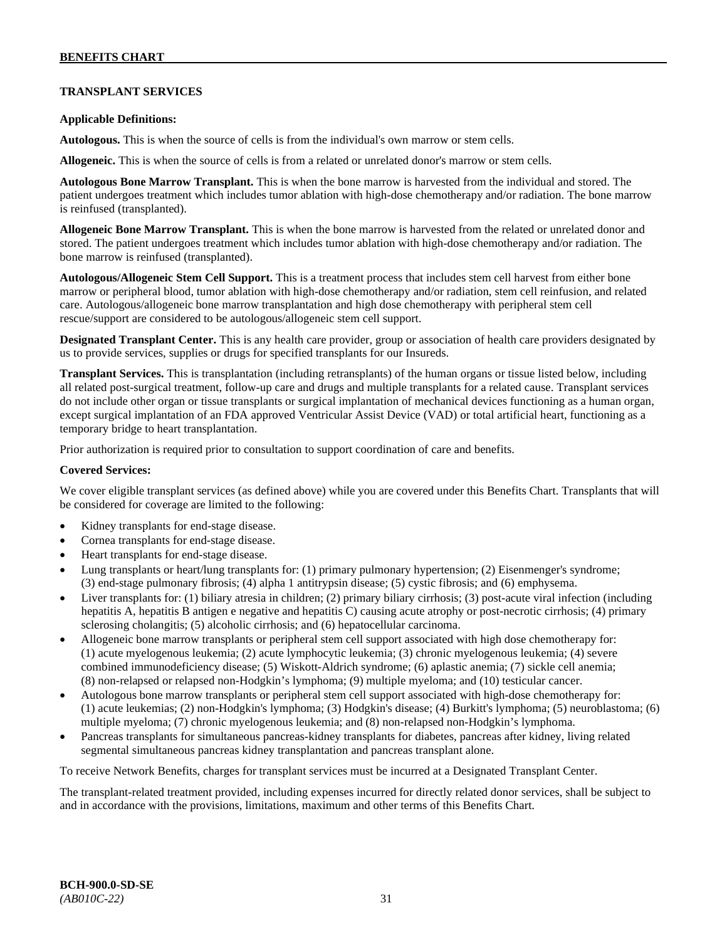# **TRANSPLANT SERVICES**

### **Applicable Definitions:**

**Autologous.** This is when the source of cells is from the individual's own marrow or stem cells.

**Allogeneic.** This is when the source of cells is from a related or unrelated donor's marrow or stem cells.

**Autologous Bone Marrow Transplant.** This is when the bone marrow is harvested from the individual and stored. The patient undergoes treatment which includes tumor ablation with high-dose chemotherapy and/or radiation. The bone marrow is reinfused (transplanted).

**Allogeneic Bone Marrow Transplant.** This is when the bone marrow is harvested from the related or unrelated donor and stored. The patient undergoes treatment which includes tumor ablation with high-dose chemotherapy and/or radiation. The bone marrow is reinfused (transplanted).

**Autologous/Allogeneic Stem Cell Support.** This is a treatment process that includes stem cell harvest from either bone marrow or peripheral blood, tumor ablation with high-dose chemotherapy and/or radiation, stem cell reinfusion, and related care. Autologous/allogeneic bone marrow transplantation and high dose chemotherapy with peripheral stem cell rescue/support are considered to be autologous/allogeneic stem cell support.

**Designated Transplant Center.** This is any health care provider, group or association of health care providers designated by us to provide services, supplies or drugs for specified transplants for our Insureds.

**Transplant Services.** This is transplantation (including retransplants) of the human organs or tissue listed below, including all related post-surgical treatment, follow-up care and drugs and multiple transplants for a related cause. Transplant services do not include other organ or tissue transplants or surgical implantation of mechanical devices functioning as a human organ, except surgical implantation of an FDA approved Ventricular Assist Device (VAD) or total artificial heart, functioning as a temporary bridge to heart transplantation.

Prior authorization is required prior to consultation to support coordination of care and benefits.

# **Covered Services:**

We cover eligible transplant services (as defined above) while you are covered under this Benefits Chart. Transplants that will be considered for coverage are limited to the following:

- Kidney transplants for end-stage disease.
- Cornea transplants for end-stage disease.
- Heart transplants for end-stage disease.
- Lung transplants or heart/lung transplants for: (1) primary pulmonary hypertension; (2) Eisenmenger's syndrome; (3) end-stage pulmonary fibrosis; (4) alpha 1 antitrypsin disease; (5) cystic fibrosis; and (6) emphysema.
- Liver transplants for: (1) biliary atresia in children; (2) primary biliary cirrhosis; (3) post-acute viral infection (including hepatitis A, hepatitis B antigen e negative and hepatitis C) causing acute atrophy or post-necrotic cirrhosis; (4) primary sclerosing cholangitis; (5) alcoholic cirrhosis; and (6) hepatocellular carcinoma.
- Allogeneic bone marrow transplants or peripheral stem cell support associated with high dose chemotherapy for: (1) acute myelogenous leukemia; (2) acute lymphocytic leukemia; (3) chronic myelogenous leukemia; (4) severe combined immunodeficiency disease; (5) Wiskott-Aldrich syndrome; (6) aplastic anemia; (7) sickle cell anemia; (8) non-relapsed or relapsed non-Hodgkin's lymphoma; (9) multiple myeloma; and (10) testicular cancer.
- Autologous bone marrow transplants or peripheral stem cell support associated with high-dose chemotherapy for: (1) acute leukemias; (2) non-Hodgkin's lymphoma; (3) Hodgkin's disease; (4) Burkitt's lymphoma; (5) neuroblastoma; (6) multiple myeloma; (7) chronic myelogenous leukemia; and (8) non-relapsed non-Hodgkin's lymphoma.
- Pancreas transplants for simultaneous pancreas-kidney transplants for diabetes, pancreas after kidney, living related segmental simultaneous pancreas kidney transplantation and pancreas transplant alone.

To receive Network Benefits, charges for transplant services must be incurred at a Designated Transplant Center.

The transplant-related treatment provided, including expenses incurred for directly related donor services, shall be subject to and in accordance with the provisions, limitations, maximum and other terms of this Benefits Chart.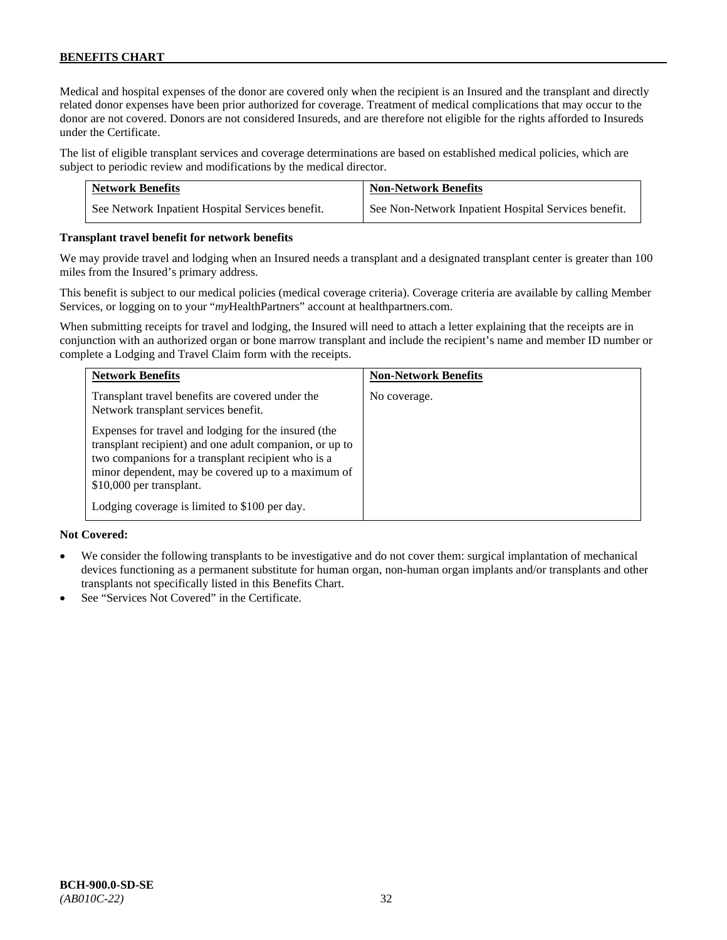Medical and hospital expenses of the donor are covered only when the recipient is an Insured and the transplant and directly related donor expenses have been prior authorized for coverage. Treatment of medical complications that may occur to the donor are not covered. Donors are not considered Insureds, and are therefore not eligible for the rights afforded to Insureds under the Certificate.

The list of eligible transplant services and coverage determinations are based on established medical policies, which are subject to periodic review and modifications by the medical director.

| <b>Network Benefits</b>                          | <b>Non-Network Benefits</b>                          |
|--------------------------------------------------|------------------------------------------------------|
| See Network Inpatient Hospital Services benefit. | See Non-Network Inpatient Hospital Services benefit. |

### **Transplant travel benefit for network benefits**

We may provide travel and lodging when an Insured needs a transplant and a designated transplant center is greater than 100 miles from the Insured's primary address.

This benefit is subject to our medical policies (medical coverage criteria). Coverage criteria are available by calling Member Services, or logging on to your "*my*HealthPartners" account a[t healthpartners.com.](http://www.healthpartners.com/)

When submitting receipts for travel and lodging, the Insured will need to attach a letter explaining that the receipts are in conjunction with an authorized organ or bone marrow transplant and include the recipient's name and member ID number or complete a Lodging and Travel Claim form with the receipts.

| <b>Network Benefits</b>                                                                                                                                                                                                                                                                                  | <b>Non-Network Benefits</b> |
|----------------------------------------------------------------------------------------------------------------------------------------------------------------------------------------------------------------------------------------------------------------------------------------------------------|-----------------------------|
| Transplant travel benefits are covered under the<br>Network transplant services benefit.                                                                                                                                                                                                                 | No coverage.                |
| Expenses for travel and lodging for the insured (the<br>transplant recipient) and one adult companion, or up to<br>two companions for a transplant recipient who is a<br>minor dependent, may be covered up to a maximum of<br>\$10,000 per transplant.<br>Lodging coverage is limited to \$100 per day. |                             |

# **Not Covered:**

- We consider the following transplants to be investigative and do not cover them: surgical implantation of mechanical devices functioning as a permanent substitute for human organ, non-human organ implants and/or transplants and other transplants not specifically listed in this Benefits Chart.
- See "Services Not Covered" in the Certificate.